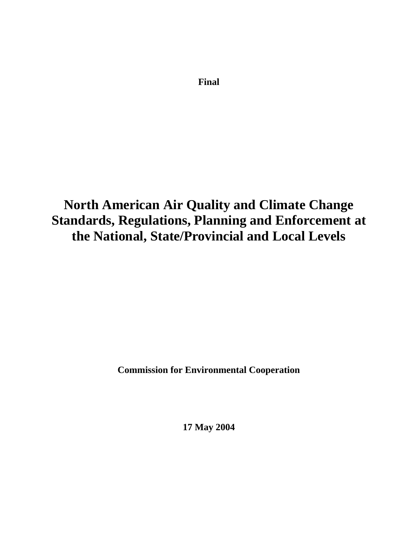**Final** 

# **North American Air Quality and Climate Change Standards, Regulations, Planning and Enforcement at the National, State/Provincial and Local Levels**

**Commission for Environmental Cooperation** 

**17 May 2004**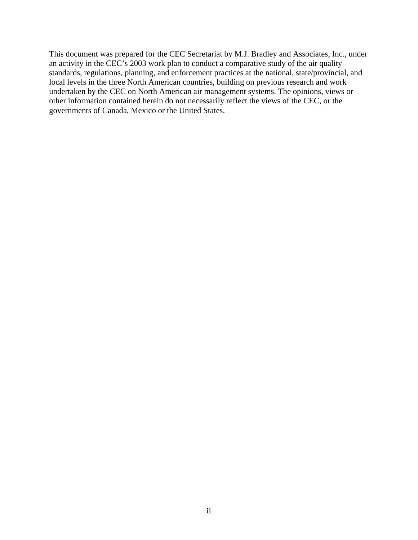This document was prepared for the CEC Secretariat by M.J. Bradley and Associates, Inc., under an activity in the CEC's 2003 work plan to conduct a comparative study of the air quality standards, regulations, planning, and enforcement practices at the national, state/provincial, and local levels in the three North American countries, building on previous research and work undertaken by the CEC on North American air management systems. The opinions, views or other information contained herein do not necessarily reflect the views of the CEC, or the governments of Canada, Mexico or the United States.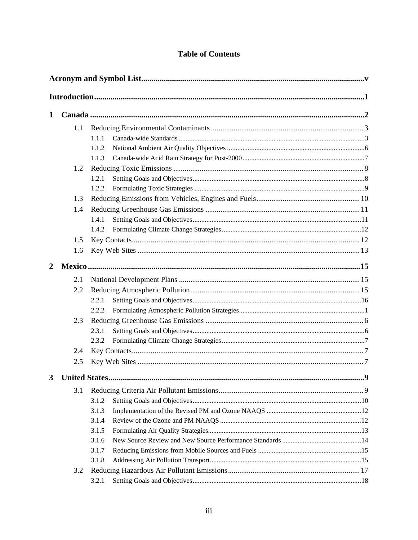# **Table of Contents**

| 1           |                      |       |    |  |
|-------------|----------------------|-------|----|--|
|             | 1.1                  |       |    |  |
|             |                      | 1.1.1 |    |  |
|             |                      | 1.1.2 |    |  |
|             |                      | 1.1.3 |    |  |
|             | 1.2                  |       |    |  |
|             |                      | 1.2.1 |    |  |
|             |                      | 1.2.2 |    |  |
|             | 1.3                  |       |    |  |
|             | 1.4                  |       |    |  |
|             |                      | 1.4.1 |    |  |
|             |                      | 1.4.2 |    |  |
|             | 1.5                  |       |    |  |
|             | 1.6                  |       |    |  |
| $\mathbf 2$ |                      |       |    |  |
|             | 2.1                  |       |    |  |
|             | 2.2                  |       |    |  |
|             |                      | 2.2.1 |    |  |
|             |                      | 2.2.2 |    |  |
|             | 2.3                  |       |    |  |
|             |                      | 2.3.1 |    |  |
|             |                      | 2.3.2 |    |  |
|             | 2.4                  |       |    |  |
|             | 2.5                  |       |    |  |
| 3           | <b>United States</b> |       | .9 |  |
|             | 3.1                  |       |    |  |
|             |                      | 3.1.2 |    |  |
|             |                      | 3.1.3 |    |  |
|             |                      | 3.1.4 |    |  |
|             |                      | 3.1.5 |    |  |
|             |                      | 3.1.6 |    |  |
|             |                      | 3.1.7 |    |  |
|             |                      | 3.1.8 |    |  |
|             | 3.2                  |       |    |  |
|             |                      | 3.2.1 |    |  |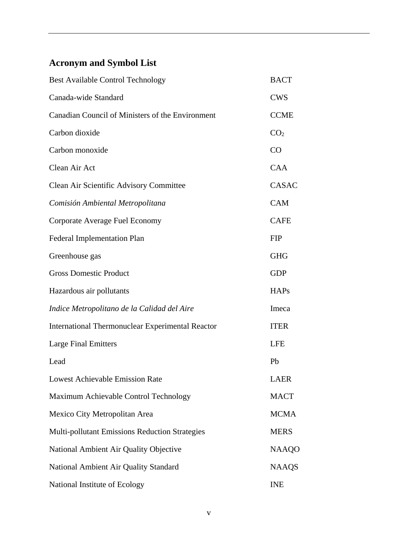# **Acronym and Symbol List**

| <b>Best Available Control Technology</b>                | <b>BACT</b>     |
|---------------------------------------------------------|-----------------|
| Canada-wide Standard                                    | <b>CWS</b>      |
| Canadian Council of Ministers of the Environment        | <b>CCME</b>     |
| Carbon dioxide                                          | CO <sub>2</sub> |
| Carbon monoxide                                         | CO              |
| Clean Air Act                                           | <b>CAA</b>      |
| Clean Air Scientific Advisory Committee                 | CASAC           |
| Comisión Ambiental Metropolitana                        | <b>CAM</b>      |
| Corporate Average Fuel Economy                          | <b>CAFE</b>     |
| <b>Federal Implementation Plan</b>                      | <b>FIP</b>      |
| Greenhouse gas                                          | <b>GHG</b>      |
| <b>Gross Domestic Product</b>                           | <b>GDP</b>      |
| Hazardous air pollutants                                | <b>HAPs</b>     |
| Indice Metropolitano de la Calidad del Aire             | Imeca           |
| <b>International Thermonuclear Experimental Reactor</b> | <b>ITER</b>     |
| <b>Large Final Emitters</b>                             | <b>LFE</b>      |
| Lead                                                    | Pb              |
| <b>Lowest Achievable Emission Rate</b>                  | <b>LAER</b>     |
| Maximum Achievable Control Technology                   | <b>MACT</b>     |
| Mexico City Metropolitan Area                           | <b>MCMA</b>     |
| <b>Multi-pollutant Emissions Reduction Strategies</b>   | <b>MERS</b>     |
| National Ambient Air Quality Objective                  | <b>NAAQO</b>    |
| National Ambient Air Quality Standard                   | <b>NAAQS</b>    |
| National Institute of Ecology                           | <b>INE</b>      |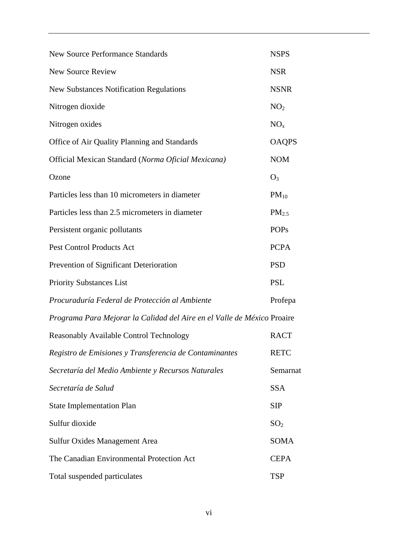| <b>New Source Performance Standards</b>                                 | <b>NSPS</b>       |
|-------------------------------------------------------------------------|-------------------|
| <b>New Source Review</b>                                                | <b>NSR</b>        |
| <b>New Substances Notification Regulations</b>                          | <b>NSNR</b>       |
| Nitrogen dioxide                                                        | NO <sub>2</sub>   |
| Nitrogen oxides                                                         | NO <sub>x</sub>   |
| Office of Air Quality Planning and Standards                            | <b>OAQPS</b>      |
| Official Mexican Standard (Norma Oficial Mexicana)                      | <b>NOM</b>        |
| Ozone                                                                   | $O_3$             |
| Particles less than 10 micrometers in diameter                          | $PM_{10}$         |
| Particles less than 2.5 micrometers in diameter                         | PM <sub>2.5</sub> |
| Persistent organic pollutants                                           | <b>POPs</b>       |
| <b>Pest Control Products Act</b>                                        | <b>PCPA</b>       |
| Prevention of Significant Deterioration                                 | <b>PSD</b>        |
| <b>Priority Substances List</b>                                         | <b>PSL</b>        |
| Procuraduría Federal de Protección al Ambiente                          | Profepa           |
| Programa Para Mejorar la Calidad del Aire en el Valle de México Proaire |                   |
| Reasonably Available Control Technology                                 | <b>RACT</b>       |
| Registro de Emisiones y Transferencia de Contaminantes                  | <b>RETC</b>       |
| Secretaría del Medio Ambiente y Recursos Naturales                      | Semarnat          |
| Secretaría de Salud                                                     | <b>SSA</b>        |
| <b>State Implementation Plan</b>                                        | <b>SIP</b>        |
| Sulfur dioxide                                                          | SO <sub>2</sub>   |
| <b>Sulfur Oxides Management Area</b>                                    | <b>SOMA</b>       |
| The Canadian Environmental Protection Act                               | <b>CEPA</b>       |
| Total suspended particulates                                            | <b>TSP</b>        |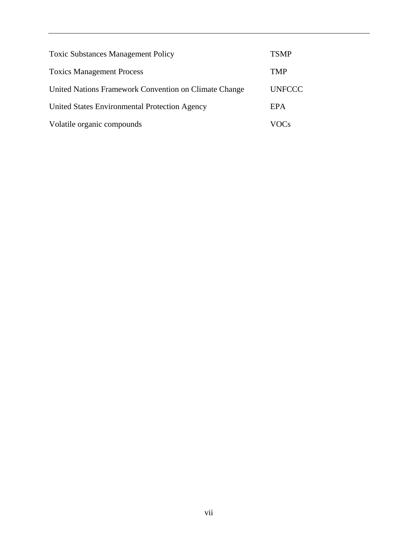| <b>Toxic Substances Management Policy</b>             | <b>TSMP</b>   |
|-------------------------------------------------------|---------------|
| <b>Toxics Management Process</b>                      | TMP           |
| United Nations Framework Convention on Climate Change | <b>UNFCCC</b> |
| United States Environmental Protection Agency         | EPA           |
| Volatile organic compounds                            | VOC's         |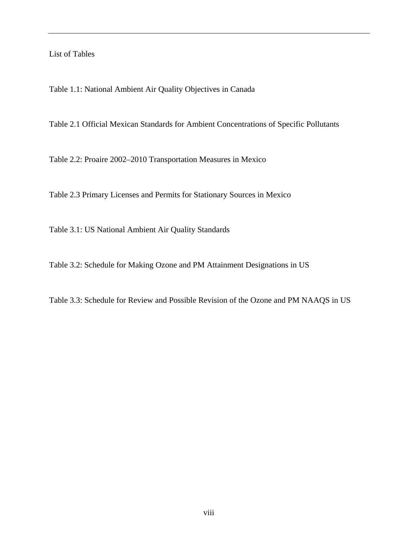#### List of Tables

Table 1.1: National Ambient Air Quality Objectives in Canada

Table 2.1 Official Mexican Standards for Ambient Concentrations of Specific Pollutants

Table 2.2: Proaire 2002–2010 Transportation Measures in Mexico

Table 2.3 Primary Licenses and Permits for Stationary Sources in Mexico

Table 3.1: US National Ambient Air Quality Standards

Table 3.2: Schedule for Making Ozone and PM Attainment Designations in US

Table 3.3: Schedule for Review and Possible Revision of the Ozone and PM NAAQS in US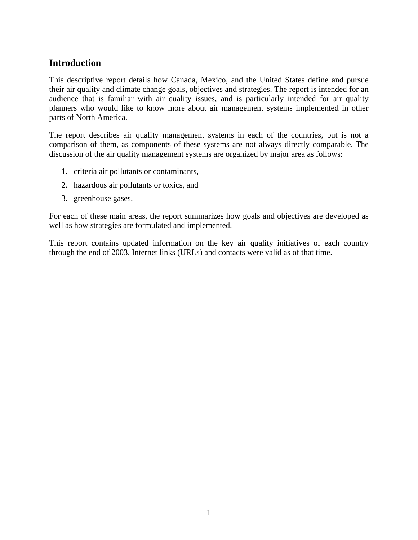# **Introduction**

This descriptive report details how Canada, Mexico, and the United States define and pursue their air quality and climate change goals, objectives and strategies. The report is intended for an audience that is familiar with air quality issues, and is particularly intended for air quality planners who would like to know more about air management systems implemented in other parts of North America.

The report describes air quality management systems in each of the countries, but is not a comparison of them, as components of these systems are not always directly comparable. The discussion of the air quality management systems are organized by major area as follows:

- 1. criteria air pollutants or contaminants,
- 2. hazardous air pollutants or toxics, and
- 3. greenhouse gases.

For each of these main areas, the report summarizes how goals and objectives are developed as well as how strategies are formulated and implemented.

This report contains updated information on the key air quality initiatives of each country through the end of 2003. Internet links (URLs) and contacts were valid as of that time.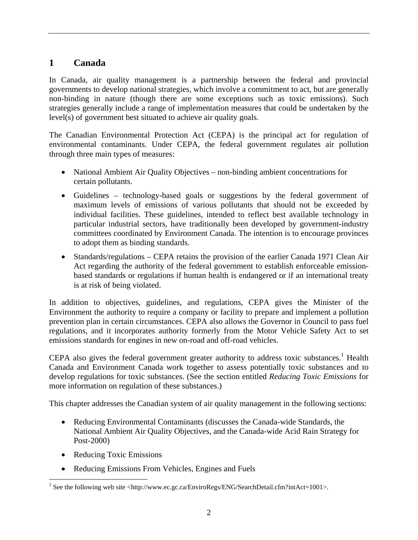# **1 Canada**

In Canada, air quality management is a partnership between the federal and provincial governments to develop national strategies, which involve a commitment to act, but are generally non-binding in nature (though there are some exceptions such as toxic emissions). Such strategies generally include a range of implementation measures that could be undertaken by the level(s) of government best situated to achieve air quality goals.

The Canadian Environmental Protection Act (CEPA) is the principal act for regulation of environmental contaminants. Under CEPA, the federal government regulates air pollution through three main types of measures:

- National Ambient Air Quality Objectives non-binding ambient concentrations for certain pollutants.
- Guidelines technology-based goals or suggestions by the federal government of maximum levels of emissions of various pollutants that should not be exceeded by individual facilities. These guidelines, intended to reflect best available technology in particular industrial sectors, have traditionally been developed by government-industry committees coordinated by Environment Canada. The intention is to encourage provinces to adopt them as binding standards.
- Standards/regulations CEPA retains the provision of the earlier Canada 1971 Clean Air Act regarding the authority of the federal government to establish enforceable emissionbased standards or regulations if human health is endangered or if an international treaty is at risk of being violated.

In addition to objectives, guidelines, and regulations, CEPA gives the Minister of the Environment the authority to require a company or facility to prepare and implement a pollution prevention plan in certain circumstances. CEPA also allows the Governor in Council to pass fuel regulations, and it incorporates authority formerly from the Motor Vehicle Safety Act to set emissions standards for engines in new on-road and off-road vehicles.

CEPA also gives the federal government greater authority to address toxic substances.<sup>1</sup> Health Canada and Environment Canada work together to assess potentially toxic substances and to develop regulations for toxic substances. (See the section entitled *Reducing Toxic Emissions* for more information on regulation of these substances.)

This chapter addresses the Canadian system of air quality management in the following sections:

- Reducing Environmental Contaminants (discusses the Canada-wide Standards, the National Ambient Air Quality Objectives, and the Canada-wide Acid Rain Strategy for Post-2000)
- Reducing Toxic Emissions
- Reducing Emissions From Vehicles, Engines and Fuels

<sup>&</sup>lt;sup>1</sup> See the following web site <http://www.ec.gc.ca/EnviroRegs/ENG/SearchDetail.cfm?intAct=1001>.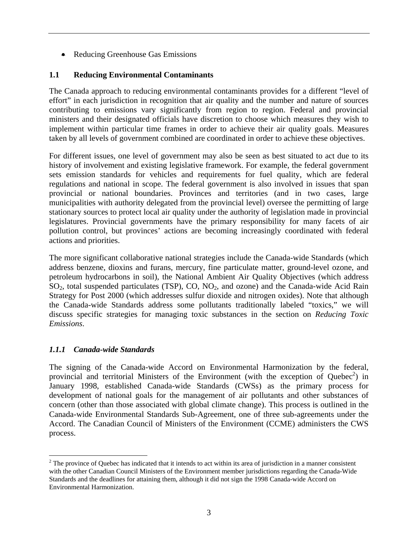• Reducing Greenhouse Gas Emissions

# **1.1 Reducing Environmental Contaminants**

The Canada approach to reducing environmental contaminants provides for a different "level of effort" in each jurisdiction in recognition that air quality and the number and nature of sources contributing to emissions vary significantly from region to region. Federal and provincial ministers and their designated officials have discretion to choose which measures they wish to implement within particular time frames in order to achieve their air quality goals. Measures taken by all levels of government combined are coordinated in order to achieve these objectives.

For different issues, one level of government may also be seen as best situated to act due to its history of involvement and existing legislative framework. For example, the federal government sets emission standards for vehicles and requirements for fuel quality, which are federal regulations and national in scope. The federal government is also involved in issues that span provincial or national boundaries. Provinces and territories (and in two cases, large municipalities with authority delegated from the provincial level) oversee the permitting of large stationary sources to protect local air quality under the authority of legislation made in provincial legislatures. Provincial governments have the primary responsibility for many facets of air pollution control, but provinces' actions are becoming increasingly coordinated with federal actions and priorities.

The more significant collaborative national strategies include the Canada-wide Standards (which address benzene, dioxins and furans, mercury, fine particulate matter, ground-level ozone, and petroleum hydrocarbons in soil), the National Ambient Air Quality Objectives (which address SO<sub>2</sub>, total suspended particulates (TSP), CO, NO<sub>2</sub>, and ozone) and the Canada-wide Acid Rain Strategy for Post 2000 (which addresses sulfur dioxide and nitrogen oxides). Note that although the Canada-wide Standards address some pollutants traditionally labeled "toxics," we will discuss specific strategies for managing toxic substances in the section on *Reducing Toxic Emissions*.

### *1.1.1 Canada-wide Standards*

<u>.</u>

The signing of the Canada-wide Accord on Environmental Harmonization by the federal, provincial and territorial Ministers of the Environment (with the exception of Quebec<sup>2</sup>) in January 1998, established Canada-wide Standards (CWSs) as the primary process for development of national goals for the management of air pollutants and other substances of concern (other than those associated with global climate change). This process is outlined in the Canada-wide Environmental Standards Sub-Agreement, one of three sub-agreements under the Accord. The Canadian Council of Ministers of the Environment (CCME) administers the CWS process.

 $2^2$  The province of Quebec has indicated that it intends to act within its area of jurisdiction in a manner consistent with the other Canadian Council Ministers of the Environment member jurisdictions regarding the Canada-Wide Standards and the deadlines for attaining them, although it did not sign the 1998 Canada-wide Accord on Environmental Harmonization.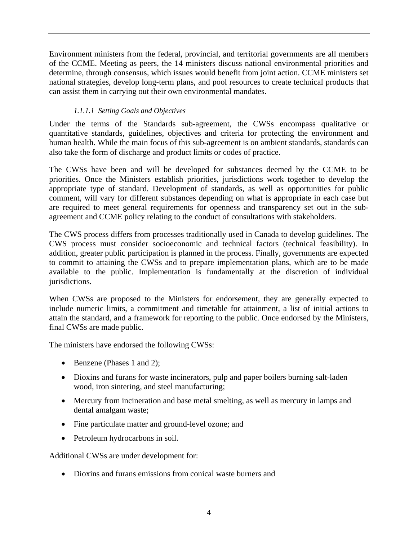Environment ministers from the federal, provincial, and territorial governments are all members of the CCME. Meeting as peers, the 14 ministers discuss national environmental priorities and determine, through consensus, which issues would benefit from joint action. CCME ministers set national strategies, develop long-term plans, and pool resources to create technical products that can assist them in carrying out their own environmental mandates.

### *1.1.1.1 Setting Goals and Objectives*

Under the terms of the Standards sub-agreement, the CWSs encompass qualitative or quantitative standards, guidelines, objectives and criteria for protecting the environment and human health. While the main focus of this sub-agreement is on ambient standards, standards can also take the form of discharge and product limits or codes of practice.

The CWSs have been and will be developed for substances deemed by the CCME to be priorities. Once the Ministers establish priorities, jurisdictions work together to develop the appropriate type of standard. Development of standards, as well as opportunities for public comment, will vary for different substances depending on what is appropriate in each case but are required to meet general requirements for openness and transparency set out in the subagreement and CCME policy relating to the conduct of consultations with stakeholders.

The CWS process differs from processes traditionally used in Canada to develop guidelines. The CWS process must consider socioeconomic and technical factors (technical feasibility). In addition, greater public participation is planned in the process. Finally, governments are expected to commit to attaining the CWSs and to prepare implementation plans, which are to be made available to the public. Implementation is fundamentally at the discretion of individual jurisdictions.

When CWSs are proposed to the Ministers for endorsement, they are generally expected to include numeric limits, a commitment and timetable for attainment, a list of initial actions to attain the standard, and a framework for reporting to the public. Once endorsed by the Ministers, final CWSs are made public.

The ministers have endorsed the following CWSs:

- Benzene (Phases 1 and 2);
- Dioxins and furans for waste incinerators, pulp and paper boilers burning salt-laden wood, iron sintering, and steel manufacturing;
- Mercury from incineration and base metal smelting, as well as mercury in lamps and dental amalgam waste;
- Fine particulate matter and ground-level ozone; and
- Petroleum hydrocarbons in soil.

Additional CWSs are under development for:

• Dioxins and furans emissions from conical waste burners and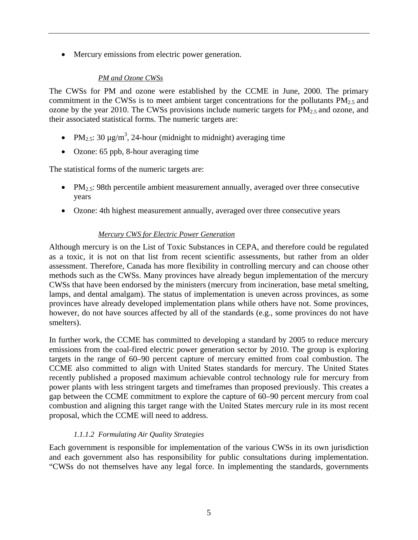• Mercury emissions from electric power generation.

#### *PM and Ozone CWSs*

The CWSs for PM and ozone were established by the CCME in June, 2000. The primary commitment in the CWSs is to meet ambient target concentrations for the pollutants  $PM_{2.5}$  and ozone by the year 2010. The CWSs provisions include numeric targets for  $\overline{PM}_{2.5}$  and ozone, and their associated statistical forms. The numeric targets are:

- PM<sub>2.5</sub>: 30  $\mu$ g/m<sup>3</sup>, 24-hour (midnight to midnight) averaging time
- Ozone: 65 ppb, 8-hour averaging time

The statistical forms of the numeric targets are:

- PM<sub>2.5</sub>: 98th percentile ambient measurement annually, averaged over three consecutive years
- Ozone: 4th highest measurement annually, averaged over three consecutive years

### *Mercury CWS for Electric Power Generation*

Although mercury is on the List of Toxic Substances in CEPA, and therefore could be regulated as a toxic, it is not on that list from recent scientific assessments, but rather from an older assessment. Therefore, Canada has more flexibility in controlling mercury and can choose other methods such as the CWSs. Many provinces have already begun implementation of the mercury CWSs that have been endorsed by the ministers (mercury from incineration, base metal smelting, lamps, and dental amalgam). The status of implementation is uneven across provinces, as some provinces have already developed implementation plans while others have not. Some provinces, however, do not have sources affected by all of the standards (e.g., some provinces do not have smelters).

In further work, the CCME has committed to developing a standard by 2005 to reduce mercury emissions from the coal-fired electric power generation sector by 2010. The group is exploring targets in the range of 60–90 percent capture of mercury emitted from coal combustion. The CCME also committed to align with United States standards for mercury. The United States recently published a proposed maximum achievable control technology rule for mercury from power plants with less stringent targets and timeframes than proposed previously. This creates a gap between the CCME commitment to explore the capture of 60–90 percent mercury from coal combustion and aligning this target range with the United States mercury rule in its most recent proposal, which the CCME will need to address.

### *1.1.1.2 Formulating Air Quality Strategies*

Each government is responsible for implementation of the various CWSs in its own jurisdiction and each government also has responsibility for public consultations during implementation. "CWSs do not themselves have any legal force. In implementing the standards, governments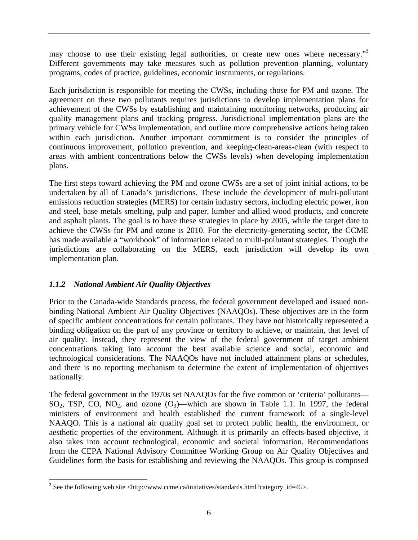may choose to use their existing legal authorities, or create new ones where necessary."3 Different governments may take measures such as pollution prevention planning, voluntary programs, codes of practice, guidelines, economic instruments, or regulations.

Each jurisdiction is responsible for meeting the CWSs, including those for PM and ozone. The agreement on these two pollutants requires jurisdictions to develop implementation plans for achievement of the CWSs by establishing and maintaining monitoring networks, producing air quality management plans and tracking progress. Jurisdictional implementation plans are the primary vehicle for CWSs implementation, and outline more comprehensive actions being taken within each jurisdiction. Another important commitment is to consider the principles of continuous improvement, pollution prevention, and keeping-clean-areas-clean (with respect to areas with ambient concentrations below the CWSs levels) when developing implementation plans.

The first steps toward achieving the PM and ozone CWSs are a set of joint initial actions, to be undertaken by all of Canada's jurisdictions. These include the development of multi-pollutant emissions reduction strategies (MERS) for certain industry sectors, including electric power, iron and steel, base metals smelting, pulp and paper, lumber and allied wood products, and concrete and asphalt plants. The goal is to have these strategies in place by 2005, while the target date to achieve the CWSs for PM and ozone is 2010. For the electricity-generating sector, the CCME has made available a "workbook" of information related to multi-pollutant strategies. Though the jurisdictions are collaborating on the MERS, each jurisdiction will develop its own implementation plan.

# *1.1.2 National Ambient Air Quality Objectives*

Prior to the Canada-wide Standards process, the federal government developed and issued nonbinding National Ambient Air Quality Objectives (NAAQOs). These objectives are in the form of specific ambient concentrations for certain pollutants. They have not historically represented a binding obligation on the part of any province or territory to achieve, or maintain, that level of air quality. Instead, they represent the view of the federal government of target ambient concentrations taking into account the best available science and social, economic and technological considerations. The NAAQOs have not included attainment plans or schedules, and there is no reporting mechanism to determine the extent of implementation of objectives nationally.

The federal government in the 1970s set NAAQOs for the five common or 'criteria' pollutants—  $SO_2$ , TSP, CO, NO<sub>2</sub>, and ozone  $(O_3)$ —which are shown in Table 1.1. In 1997, the federal ministers of environment and health established the current framework of a single-level NAAQO. This is a national air quality goal set to protect public health, the environment, or aesthetic properties of the environment. Although it is primarily an effects-based objective, it also takes into account technological, economic and societal information. Recommendations from the CEPA National Advisory Committee Working Group on Air Quality Objectives and Guidelines form the basis for establishing and reviewing the NAAQOs. This group is composed

 $\overline{a}$ <sup>3</sup> See the following web site <http://www.ccme.ca/initiatives/standards.html?category\_id=45>.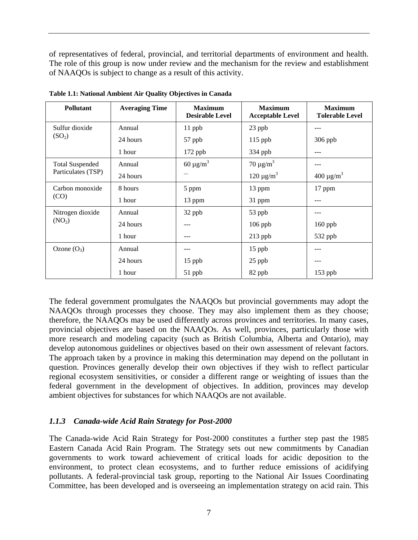of representatives of federal, provincial, and territorial departments of environment and health. The role of this group is now under review and the mechanism for the review and establishment of NAAQOs is subject to change as a result of this activity.

| <b>Pollutant</b>       | <b>Averaging Time</b> | <b>Maximum</b><br><b>Desirable Level</b> | <b>Maximum</b><br><b>Acceptable Level</b> | <b>Maximum</b><br><b>Tolerable Level</b> |
|------------------------|-----------------------|------------------------------------------|-------------------------------------------|------------------------------------------|
| Sulfur dioxide         | Annual                | $11$ ppb                                 | 23 ppb                                    | ---                                      |
| (SO <sub>2</sub> )     | 24 hours              | 57 ppb                                   | $115$ ppb                                 | $306$ ppb                                |
|                        | 1 hour                | 172 ppb                                  | 334 ppb                                   | ---                                      |
| <b>Total Suspended</b> | Annual                | $60 \mu g/m^3$                           | $70 \mu g/m^3$                            | ---                                      |
| Particulates (TSP)     | 24 hours              | $---$                                    | $120 \mu g/m^3$                           | $400 \mu g/m^3$                          |
| Carbon monoxide        | 8 hours               | 5 ppm                                    | 13 ppm                                    | 17 ppm                                   |
| (CO)                   | 1 hour                | 13 ppm                                   | 31 ppm                                    | ---                                      |
| Nitrogen dioxide       | Annual                | 32 ppb                                   | 53 ppb                                    | ---                                      |
| (NO <sub>2</sub> )     | 24 hours              |                                          | $106$ ppb                                 | $160$ ppb                                |
|                        | 1 hour                |                                          | $213$ ppb                                 | 532 ppb                                  |
| Ozone $(O_3)$          | Annual                |                                          | 15 ppb                                    |                                          |
|                        | 24 hours              | 15 ppb                                   | $25$ ppb                                  |                                          |
|                        | 1 hour                | $51$ ppb                                 | 82 ppb                                    | $153$ ppb                                |

**Table 1.1: National Ambient Air Quality Objectives in Canada** 

The federal government promulgates the NAAQOs but provincial governments may adopt the NAAQOs through processes they choose. They may also implement them as they choose; therefore, the NAAQOs may be used differently across provinces and territories. In many cases, provincial objectives are based on the NAAQOs. As well, provinces, particularly those with more research and modeling capacity (such as British Columbia, Alberta and Ontario), may develop autonomous guidelines or objectives based on their own assessment of relevant factors. The approach taken by a province in making this determination may depend on the pollutant in question. Provinces generally develop their own objectives if they wish to reflect particular regional ecosystem sensitivities, or consider a different range or weighting of issues than the federal government in the development of objectives. In addition, provinces may develop ambient objectives for substances for which NAAQOs are not available.

### *1.1.3 Canada-wide Acid Rain Strategy for Post-2000*

The Canada-wide Acid Rain Strategy for Post-2000 constitutes a further step past the 1985 Eastern Canada Acid Rain Program. The Strategy sets out new commitments by Canadian governments to work toward achievement of critical loads for acidic deposition to the environment, to protect clean ecosystems, and to further reduce emissions of acidifying pollutants. A federal-provincial task group, reporting to the National Air Issues Coordinating Committee, has been developed and is overseeing an implementation strategy on acid rain. This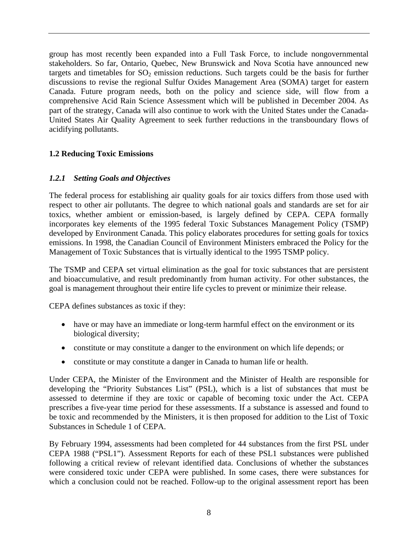group has most recently been expanded into a Full Task Force, to include nongovernmental stakeholders. So far, Ontario, Quebec, New Brunswick and Nova Scotia have announced new targets and timetables for  $SO_2$  emission reductions. Such targets could be the basis for further discussions to revise the regional Sulfur Oxides Management Area (SOMA) target for eastern Canada. Future program needs, both on the policy and science side, will flow from a comprehensive Acid Rain Science Assessment which will be published in December 2004. As part of the strategy, Canada will also continue to work with the United States under the Canada-United States Air Quality Agreement to seek further reductions in the transboundary flows of acidifying pollutants.

### **1.2 Reducing Toxic Emissions**

#### *1.2.1 Setting Goals and Objectives*

The federal process for establishing air quality goals for air toxics differs from those used with respect to other air pollutants. The degree to which national goals and standards are set for air toxics, whether ambient or emission-based, is largely defined by CEPA. CEPA formally incorporates key elements of the 1995 federal Toxic Substances Management Policy (TSMP) developed by Environment Canada. This policy elaborates procedures for setting goals for toxics emissions. In 1998, the Canadian Council of Environment Ministers embraced the Policy for the Management of Toxic Substances that is virtually identical to the 1995 TSMP policy.

The TSMP and CEPA set virtual elimination as the goal for toxic substances that are persistent and bioaccumulative, and result predominantly from human activity. For other substances, the goal is management throughout their entire life cycles to prevent or minimize their release.

CEPA defines substances as toxic if they:

- have or may have an immediate or long-term harmful effect on the environment or its biological diversity;
- constitute or may constitute a danger to the environment on which life depends; or
- constitute or may constitute a danger in Canada to human life or health.

Under CEPA, the Minister of the Environment and the Minister of Health are responsible for developing the "Priority Substances List" (PSL), which is a list of substances that must be assessed to determine if they are toxic or capable of becoming toxic under the Act. CEPA prescribes a five-year time period for these assessments. If a substance is assessed and found to be toxic and recommended by the Ministers, it is then proposed for addition to the List of Toxic Substances in Schedule 1 of CEPA.

By February 1994, assessments had been completed for 44 substances from the first PSL under CEPA 1988 ("PSL1"). Assessment Reports for each of these PSL1 substances were published following a critical review of relevant identified data. Conclusions of whether the substances were considered toxic under CEPA were published. In some cases, there were substances for which a conclusion could not be reached. Follow-up to the original assessment report has been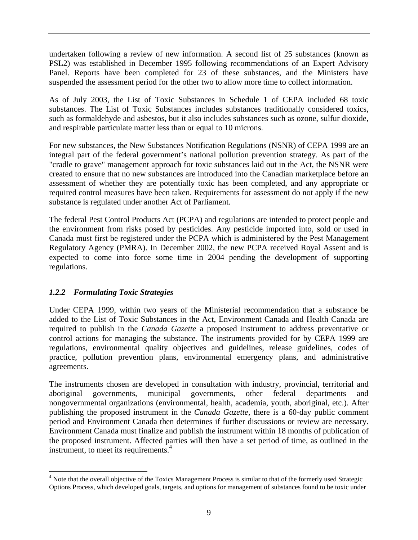undertaken following a review of new information. A second list of 25 substances (known as PSL2) was established in December 1995 following recommendations of an Expert Advisory Panel. Reports have been completed for 23 of these substances, and the Ministers have suspended the assessment period for the other two to allow more time to collect information.

As of July 2003, the List of Toxic Substances in Schedule 1 of CEPA included 68 toxic substances. The List of Toxic Substances includes substances traditionally considered toxics, such as formaldehyde and asbestos, but it also includes substances such as ozone, sulfur dioxide, and respirable particulate matter less than or equal to 10 microns.

For new substances, the New Substances Notification Regulations (NSNR) of CEPA 1999 are an integral part of the federal government's national pollution prevention strategy. As part of the "cradle to grave" management approach for toxic substances laid out in the Act, the NSNR were created to ensure that no new substances are introduced into the Canadian marketplace before an assessment of whether they are potentially toxic has been completed, and any appropriate or required control measures have been taken. Requirements for assessment do not apply if the new substance is regulated under another Act of Parliament.

The federal Pest Control Products Act (PCPA) and regulations are intended to protect people and the environment from risks posed by pesticides. Any pesticide imported into, sold or used in Canada must first be registered under the PCPA which is administered by the Pest Management Regulatory Agency (PMRA). In December 2002, the new PCPA received Royal Assent and is expected to come into force some time in 2004 pending the development of supporting regulations.

### *1.2.2 Formulating Toxic Strategies*

 $\overline{a}$ 

Under CEPA 1999, within two years of the Ministerial recommendation that a substance be added to the List of Toxic Substances in the Act, Environment Canada and Health Canada are required to publish in the *Canada Gazette* a proposed instrument to address preventative or control actions for managing the substance. The instruments provided for by CEPA 1999 are regulations, environmental quality objectives and guidelines, release guidelines, codes of practice, pollution prevention plans, environmental emergency plans, and administrative agreements.

The instruments chosen are developed in consultation with industry, provincial, territorial and aboriginal governments, municipal governments, other federal departments and nongovernmental organizations (environmental, health, academia, youth, aboriginal, etc.). After publishing the proposed instrument in the *Canada Gazette,* there is a 60-day public comment period and Environment Canada then determines if further discussions or review are necessary. Environment Canada must finalize and publish the instrument within 18 months of publication of the proposed instrument. Affected parties will then have a set period of time, as outlined in the instrument, to meet its requirements.<sup>4</sup>

<sup>&</sup>lt;sup>4</sup> Note that the overall objective of the Toxics Management Process is similar to that of the formerly used Strategic Options Process, which developed goals, targets, and options for management of substances found to be toxic under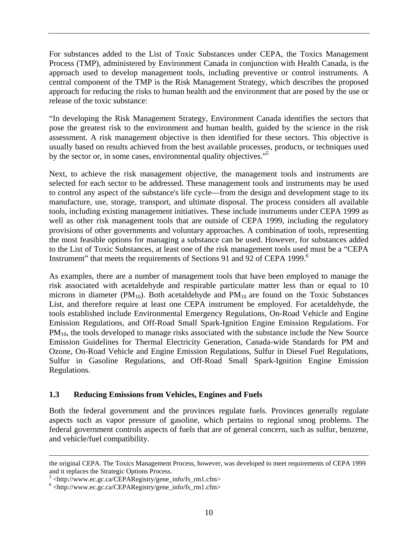For substances added to the List of Toxic Substances under CEPA, the Toxics Management Process (TMP), administered by Environment Canada in conjunction with Health Canada, is the approach used to develop management tools, including preventive or control instruments. A central component of the TMP is the Risk Management Strategy, which describes the proposed approach for reducing the risks to human health and the environment that are posed by the use or release of the toxic substance:

"In developing the Risk Management Strategy, Environment Canada identifies the sectors that pose the greatest risk to the environment and human health, guided by the science in the risk assessment. A risk management objective is then identified for these sectors. This objective is usually based on results achieved from the best available processes, products, or techniques used by the sector or, in some cases, environmental quality objectives."<sup>5</sup>

Next, to achieve the risk management objective, the management tools and instruments are selected for each sector to be addressed. These management tools and instruments may be used to control any aspect of the substance's life cycle—from the design and development stage to its manufacture, use, storage, transport, and ultimate disposal. The process considers all available tools, including existing management initiatives. These include instruments under CEPA 1999 as well as other risk management tools that are outside of CEPA 1999, including the regulatory provisions of other governments and voluntary approaches. A combination of tools, representing the most feasible options for managing a substance can be used. However, for substances added to the List of Toxic Substances, at least one of the risk management tools used must be a "CEPA Instrument" that meets the requirements of Sections 91 and 92 of CEPA 1999.<sup>6</sup>

As examples, there are a number of management tools that have been employed to manage the risk associated with acetaldehyde and respirable particulate matter less than or equal to 10 microns in diameter ( $PM_{10}$ ). Both acetaldehyde and  $PM_{10}$  are found on the Toxic Substances List, and therefore require at least one CEPA instrument be employed. For acetaldehyde, the tools established include Environmental Emergency Regulations, On-Road Vehicle and Engine Emission Regulations, and Off-Road Small Spark-Ignition Engine Emission Regulations. For  $PM<sub>10</sub>$ , the tools developed to manage risks associated with the substance include the New Source Emission Guidelines for Thermal Electricity Generation, Canada-wide Standards for PM and Ozone, On-Road Vehicle and Engine Emission Regulations, Sulfur in Diesel Fuel Regulations, Sulfur in Gasoline Regulations, and Off-Road Small Spark-Ignition Engine Emission Regulations.

#### **1.3 Reducing Emissions from Vehicles, Engines and Fuels**

Both the federal government and the provinces regulate fuels. Provinces generally regulate aspects such as vapor pressure of gasoline, which pertains to regional smog problems. The federal government controls aspects of fuels that are of general concern, such as sulfur, benzene, and vehicle/fuel compatibility.

the original CEPA. The Toxics Management Process, however, was developed to meet requirements of CEPA 1999 and it replaces the Strategic Options Process.

 $^5$  <http://www.ec.gc.ca/CEPARegistry/gene\_info/fs\_rm1.cfm>

 $6$  <http://www.ec.gc.ca/CEPARegistry/gene\_info/fs\_rm1.cfm>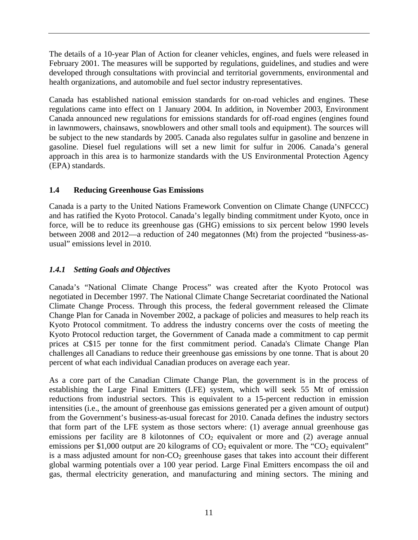The details of a 10-year Plan of Action for cleaner vehicles, engines, and fuels were released in February 2001. The measures will be supported by regulations, guidelines, and studies and were developed through consultations with provincial and territorial governments, environmental and health organizations, and automobile and fuel sector industry representatives.

Canada has established national emission standards for on-road vehicles and engines. These regulations came into effect on 1 January 2004. In addition, in November 2003, Environment Canada announced new regulations for emissions standards for off-road engines (engines found in lawnmowers, chainsaws, snowblowers and other small tools and equipment). The sources will be subject to the new standards by 2005. Canada also regulates sulfur in gasoline and benzene in gasoline. Diesel fuel regulations will set a new limit for sulfur in 2006. Canada's general approach in this area is to harmonize standards with the US Environmental Protection Agency (EPA) standards.

# **1.4 Reducing Greenhouse Gas Emissions**

Canada is a party to the United Nations Framework Convention on Climate Change (UNFCCC) and has ratified the Kyoto Protocol. Canada's legally binding commitment under Kyoto, once in force, will be to reduce its greenhouse gas (GHG) emissions to six percent below 1990 levels between 2008 and 2012—a reduction of 240 megatonnes (Mt) from the projected "business-asusual" emissions level in 2010.

# *1.4.1 Setting Goals and Objectives*

Canada's "National Climate Change Process" was created after the Kyoto Protocol was negotiated in December 1997. The National Climate Change Secretariat coordinated the National Climate Change Process. Through this process, the federal government released the Climate Change Plan for Canada in November 2002, a package of policies and measures to help reach its Kyoto Protocol commitment. To address the industry concerns over the costs of meeting the Kyoto Protocol reduction target, the Government of Canada made a commitment to cap permit prices at C\$15 per tonne for the first commitment period. Canada's Climate Change Plan challenges all Canadians to reduce their greenhouse gas emissions by one tonne. That is about 20 percent of what each individual Canadian produces on average each year.

As a core part of the Canadian Climate Change Plan, the government is in the process of establishing the Large Final Emitters (LFE) system, which will seek 55 Mt of emission reductions from industrial sectors. This is equivalent to a 15-percent reduction in emission intensities (i.e., the amount of greenhouse gas emissions generated per a given amount of output) from the Government's business-as-usual forecast for 2010. Canada defines the industry sectors that form part of the LFE system as those sectors where: (1) average annual greenhouse gas emissions per facility are 8 kilotonnes of  $CO<sub>2</sub>$  equivalent or more and (2) average annual emissions per \$1,000 output are 20 kilograms of  $CO<sub>2</sub>$  equivalent or more. The "CO<sub>2</sub> equivalent" is a mass adjusted amount for non- $CO<sub>2</sub>$  greenhouse gases that takes into account their different global warming potentials over a 100 year period. Large Final Emitters encompass the oil and gas, thermal electricity generation, and manufacturing and mining sectors. The mining and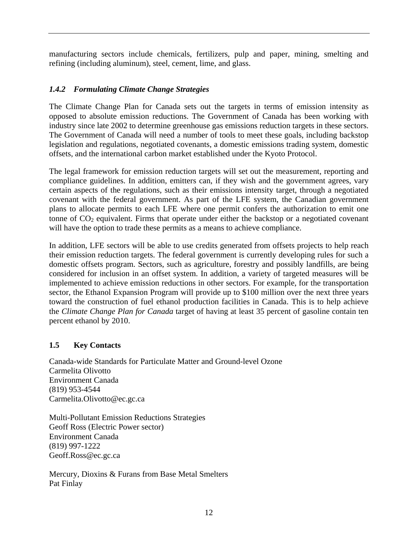manufacturing sectors include chemicals, fertilizers, pulp and paper, mining, smelting and refining (including aluminum), steel, cement, lime, and glass.

### *1.4.2 Formulating Climate Change Strategies*

The Climate Change Plan for Canada sets out the targets in terms of emission intensity as opposed to absolute emission reductions. The Government of Canada has been working with industry since late 2002 to determine greenhouse gas emissions reduction targets in these sectors. The Government of Canada will need a number of tools to meet these goals, including backstop legislation and regulations, negotiated covenants, a domestic emissions trading system, domestic offsets, and the international carbon market established under the Kyoto Protocol.

The legal framework for emission reduction targets will set out the measurement, reporting and compliance guidelines. In addition, emitters can, if they wish and the government agrees, vary certain aspects of the regulations, such as their emissions intensity target, through a negotiated covenant with the federal government. As part of the LFE system, the Canadian government plans to allocate permits to each LFE where one permit confers the authorization to emit one tonne of  $CO<sub>2</sub>$  equivalent. Firms that operate under either the backstop or a negotiated covenant will have the option to trade these permits as a means to achieve compliance.

In addition, LFE sectors will be able to use credits generated from offsets projects to help reach their emission reduction targets. The federal government is currently developing rules for such a domestic offsets program. Sectors, such as agriculture, forestry and possibly landfills, are being considered for inclusion in an offset system. In addition, a variety of targeted measures will be implemented to achieve emission reductions in other sectors. For example, for the transportation sector, the Ethanol Expansion Program will provide up to \$100 million over the next three years toward the construction of fuel ethanol production facilities in Canada. This is to help achieve the *Climate Change Plan for Canada* target of having at least 35 percent of gasoline contain ten percent ethanol by 2010.

### **1.5 Key Contacts**

Canada-wide Standards for Particulate Matter and Ground-level Ozone Carmelita Olivotto Environment Canada (819) 953-4544 Carmelita.Olivotto@ec.gc.ca

Multi-Pollutant Emission Reductions Strategies Geoff Ross (Electric Power sector) Environment Canada (819) 997-1222 Geoff.Ross@ec.gc.ca

Mercury, Dioxins & Furans from Base Metal Smelters Pat Finlay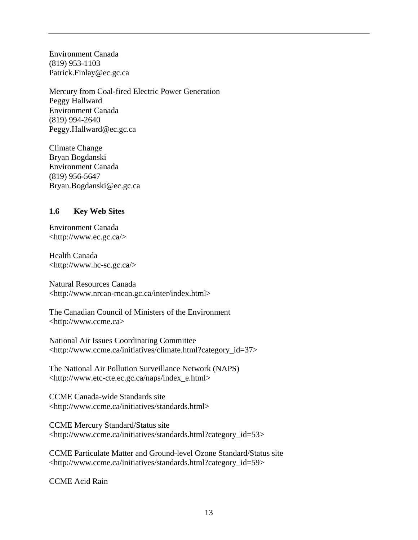Environment Canada (819) 953-1103 Patrick.Finlay@ec.gc.ca

Mercury from Coal-fired Electric Power Generation Peggy Hallward Environment Canada (819) 994-2640 Peggy.Hallward@ec.gc.ca

Climate Change Bryan Bogdanski Environment Canada (819) 956-5647 Bryan.Bogdanski@ec.gc.ca

#### **1.6 Key Web Sites**

Environment Canada <http://www.ec.gc.ca/>

Health Canada <http://www.hc-sc.gc.ca/>

Natural Resources Canada <http://www.nrcan-rncan.gc.ca/inter/index.html>

The Canadian Council of Ministers of the Environment <http://www.ccme.ca>

National Air Issues Coordinating Committee <http://www.ccme.ca/initiatives/climate.html?category\_id=37>

The National Air Pollution Surveillance Network (NAPS) <http://www.etc-cte.ec.gc.ca/naps/index\_e.html>

CCME Canada-wide Standards site <http://www.ccme.ca/initiatives/standards.html>

CCME Mercury Standard/Status site <http://www.ccme.ca/initiatives/standards.html?category\_id=53>

CCME Particulate Matter and Ground-level Ozone Standard/Status site <http://www.ccme.ca/initiatives/standards.html?category\_id=59>

CCME Acid Rain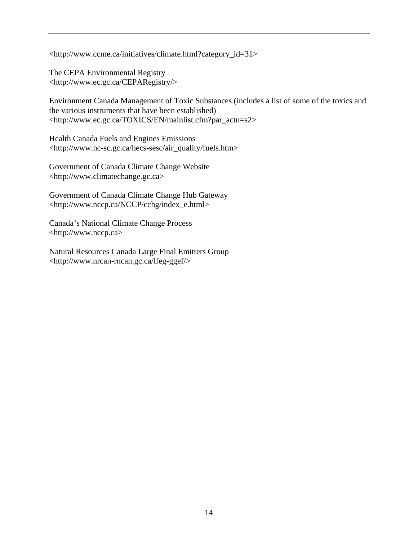<http://www.ccme.ca/initiatives/climate.html?category\_id=31>

The CEPA Environmental Registry <http://www.ec.gc.ca/CEPARegistry/>

Environment Canada Management of Toxic Substances (includes a list of some of the toxics and the various instruments that have been established) <http://www.ec.gc.ca/TOXICS/EN/mainlist.cfm?par\_actn=s2>

Health Canada Fuels and Engines Emissions <http://www.hc-sc.gc.ca/hecs-sesc/air\_quality/fuels.htm>

Government of Canada Climate Change Website <http://www.climatechange.gc.ca>

Government of Canada Climate Change Hub Gateway <http://www.nccp.ca/NCCP/cchg/index\_e.html>

Canada's National Climate Change Process <http://www.nccp.ca>

Natural Resources Canada Large Final Emitters Group <http://www.nrcan-rncan.gc.ca/lfeg-ggef/>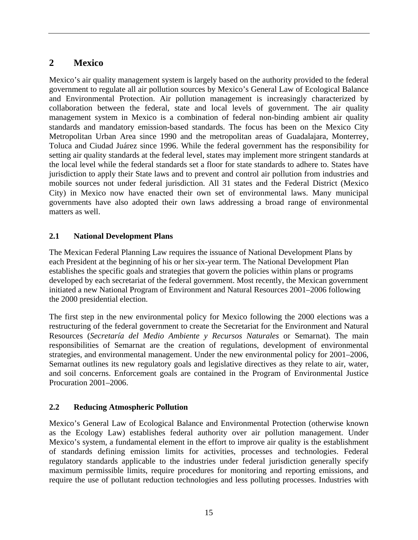# **2 Mexico**

Mexico's air quality management system is largely based on the authority provided to the federal government to regulate all air pollution sources by Mexico's General Law of Ecological Balance and Environmental Protection. Air pollution management is increasingly characterized by collaboration between the federal, state and local levels of government. The air quality management system in Mexico is a combination of federal non-binding ambient air quality standards and mandatory emission-based standards. The focus has been on the Mexico City Metropolitan Urban Area since 1990 and the metropolitan areas of Guadalajara, Monterrey, Toluca and Ciudad Juárez since 1996. While the federal government has the responsibility for setting air quality standards at the federal level, states may implement more stringent standards at the local level while the federal standards set a floor for state standards to adhere to. States have jurisdiction to apply their State laws and to prevent and control air pollution from industries and mobile sources not under federal jurisdiction. All 31 states and the Federal District (Mexico City) in Mexico now have enacted their own set of environmental laws. Many municipal governments have also adopted their own laws addressing a broad range of environmental matters as well.

### **2.1 National Development Plans**

The Mexican Federal Planning Law requires the issuance of National Development Plans by each President at the beginning of his or her six-year term. The National Development Plan establishes the specific goals and strategies that govern the policies within plans or programs developed by each secretariat of the federal government. Most recently, the Mexican government initiated a new National Program of Environment and Natural Resources 2001–2006 following the 2000 presidential election.

The first step in the new environmental policy for Mexico following the 2000 elections was a restructuring of the federal government to create the Secretariat for the Environment and Natural Resources (*Secretaría del Medio Ambiente y Recursos Naturales* or Semarnat). The main responsibilities of Semarnat are the creation of regulations, development of environmental strategies, and environmental management. Under the new environmental policy for 2001–2006, Semarnat outlines its new regulatory goals and legislative directives as they relate to air, water, and soil concerns. Enforcement goals are contained in the Program of Environmental Justice Procuration 2001–2006.

### **2.2 Reducing Atmospheric Pollution**

Mexico's General Law of Ecological Balance and Environmental Protection (otherwise known as the Ecology Law) establishes federal authority over air pollution management. Under Mexico's system, a fundamental element in the effort to improve air quality is the establishment of standards defining emission limits for activities, processes and technologies. Federal regulatory standards applicable to the industries under federal jurisdiction generally specify maximum permissible limits, require procedures for monitoring and reporting emissions, and require the use of pollutant reduction technologies and less polluting processes. Industries with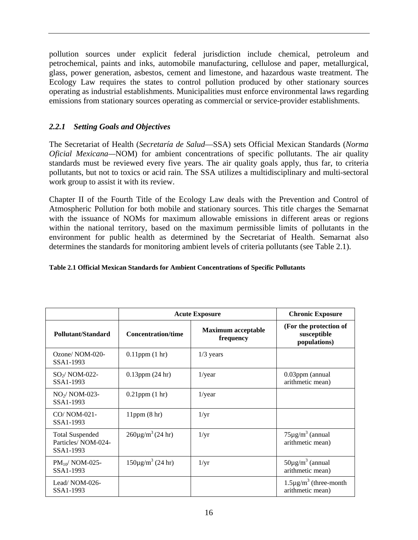pollution sources under explicit federal jurisdiction include chemical, petroleum and petrochemical, paints and inks, automobile manufacturing, cellulose and paper, metallurgical, glass, power generation, asbestos, cement and limestone, and hazardous waste treatment. The Ecology Law requires the states to control pollution produced by other stationary sources operating as industrial establishments. Municipalities must enforce environmental laws regarding emissions from stationary sources operating as commercial or service-provider establishments.

### *2.2.1 Setting Goals and Objectives*

The Secretariat of Health (*Secretaría de Salud*—SSA) sets Official Mexican Standards (*Norma Oficial Mexicana—*NOM) for ambient concentrations of specific pollutants. The air quality standards must be reviewed every five years. The air quality goals apply, thus far, to criteria pollutants, but not to toxics or acid rain. The SSA utilizes a multidisciplinary and multi-sectoral work group to assist it with its review.

Chapter II of the Fourth Title of the Ecology Law deals with the Prevention and Control of Atmospheric Pollution for both mobile and stationary sources. This title charges the Semarnat with the issuance of NOMs for maximum allowable emissions in different areas or regions within the national territory, based on the maximum permissible limits of pollutants in the environment for public health as determined by the Secretariat of Health. Semarnat also determines the standards for monitoring ambient levels of criteria pollutants (see Table 2.1).

#### **Table 2.1 Official Mexican Standards for Ambient Concentrations of Specific Pollutants**

|                                                           | <b>Acute Exposure</b>                |                                        | <b>Chronic Exposure</b>                               |
|-----------------------------------------------------------|--------------------------------------|----------------------------------------|-------------------------------------------------------|
| Pollutant/Standard                                        | <b>Concentration/time</b>            | <b>Maximum acceptable</b><br>frequency | (For the protection of<br>susceptible<br>populations) |
| Ozone/NOM-020-<br>SSA1-1993                               | $0.11$ ppm $(1 \text{ hr})$          | $1/3$ years                            |                                                       |
| $SO2/NOM-022$ -<br>SSA1-1993                              | $0.13$ ppm $(24 \text{ hr})$         | $1$ /year                              | 0.03ppm (annual<br>arithmetic mean)                   |
| $NO2/ NOM-023-$<br>SSA1-1993                              | $0.21$ ppm $(1 \text{ hr})$          | $1$ /year                              |                                                       |
| CO/NOM-021-<br>SSA1-1993                                  | 11ppm(8 hr)                          | $1/\text{yr}$                          |                                                       |
| <b>Total Suspended</b><br>Particles/NOM-024-<br>SSA1-1993 | $260\mu\text{g/m}^3 (24 \text{ hr})$ | $1/\text{yr}$                          | $75\mu$ g/m <sup>3</sup> (annual<br>arithmetic mean)  |
| $PM_{10}$ / NOM-025-<br>SSA1-1993                         | $150\mu g/m^3$ (24 hr)               | $1/\text{yr}$                          | $50\mu\text{g/m}^3$ (annual<br>arithmetic mean)       |
| Lead/NOM-026-<br>SSA1-1993                                |                                      |                                        | $1.5\mu\text{g/m}^3$ (three-month<br>arithmetic mean) |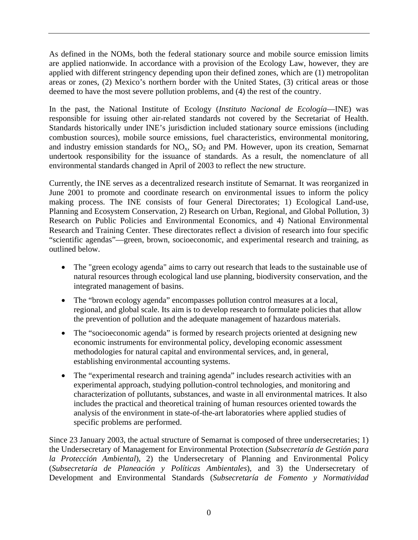As defined in the NOMs, both the federal stationary source and mobile source emission limits are applied nationwide. In accordance with a provision of the Ecology Law, however, they are applied with different stringency depending upon their defined zones, which are (1) metropolitan areas or zones, (2) Mexico's northern border with the United States, (3) critical areas or those deemed to have the most severe pollution problems, and (4) the rest of the country.

In the past, the National Institute of Ecology (*Instituto Nacional de Ecología*—INE) was responsible for issuing other air-related standards not covered by the Secretariat of Health. Standards historically under INE's jurisdiction included stationary source emissions (including combustion sources), mobile source emissions, fuel characteristics, environmental monitoring, and industry emission standards for  $NO<sub>x</sub>$ ,  $SO<sub>2</sub>$  and PM. However, upon its creation, Semarnat undertook responsibility for the issuance of standards. As a result, the nomenclature of all environmental standards changed in April of 2003 to reflect the new structure.

Currently, the INE serves as a decentralized research institute of Semarnat. It was reorganized in June 2001 to promote and coordinate research on environmental issues to inform the policy making process. The INE consists of four General Directorates; 1) Ecological Land-use, Planning and Ecosystem Conservation, 2) Research on Urban, Regional, and Global Pollution, 3) Research on Public Policies and Environmental Economics, and 4) National Environmental Research and Training Center. These directorates reflect a division of research into four specific "scientific agendas"—green, brown, socioeconomic, and experimental research and training, as outlined below.

- The "green ecology agenda" aims to carry out research that leads to the sustainable use of natural resources through ecological land use planning, biodiversity conservation, and the integrated management of basins.
- The "brown ecology agenda" encompasses pollution control measures at a local, regional, and global scale. Its aim is to develop research to formulate policies that allow the prevention of pollution and the adequate management of hazardous materials.
- The "socioeconomic agenda" is formed by research projects oriented at designing new economic instruments for environmental policy, developing economic assessment methodologies for natural capital and environmental services, and, in general, establishing environmental accounting systems.
- The "experimental research and training agenda" includes research activities with an experimental approach, studying pollution-control technologies, and monitoring and characterization of pollutants, substances, and waste in all environmental matrices. It also includes the practical and theoretical training of human resources oriented towards the analysis of the environment in state-of-the-art laboratories where applied studies of specific problems are performed.

Since 23 January 2003, the actual structure of Semarnat is composed of three undersecretaries; 1) the Undersecretary of Management for Environmental Protection (*Subsecretaría de Gestión para la Protección Ambiental*), 2) the Undersecretary of Planning and Environmental Policy (*Subsecretaría de Planeación y Políticas Ambientales*), and 3) the Undersecretary of Development and Environmental Standards (*Subsecretaría de Fomento y Normatividad*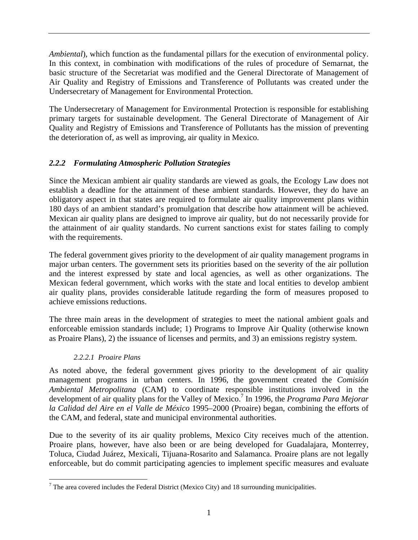*Ambiental*), which function as the fundamental pillars for the execution of environmental policy. In this context, in combination with modifications of the rules of procedure of Semarnat, the basic structure of the Secretariat was modified and the General Directorate of Management of Air Quality and Registry of Emissions and Transference of Pollutants was created under the Undersecretary of Management for Environmental Protection.

The Undersecretary of Management for Environmental Protection is responsible for establishing primary targets for sustainable development. The General Directorate of Management of Air Quality and Registry of Emissions and Transference of Pollutants has the mission of preventing the deterioration of, as well as improving, air quality in Mexico.

# *2.2.2 Formulating Atmospheric Pollution Strategies*

Since the Mexican ambient air quality standards are viewed as goals, the Ecology Law does not establish a deadline for the attainment of these ambient standards. However, they do have an obligatory aspect in that states are required to formulate air quality improvement plans within 180 days of an ambient standard's promulgation that describe how attainment will be achieved. Mexican air quality plans are designed to improve air quality, but do not necessarily provide for the attainment of air quality standards. No current sanctions exist for states failing to comply with the requirements.

The federal government gives priority to the development of air quality management programs in major urban centers. The government sets its priorities based on the severity of the air pollution and the interest expressed by state and local agencies, as well as other organizations. The Mexican federal government, which works with the state and local entities to develop ambient air quality plans, provides considerable latitude regarding the form of measures proposed to achieve emissions reductions.

The three main areas in the development of strategies to meet the national ambient goals and enforceable emission standards include; 1) Programs to Improve Air Quality (otherwise known as Proaire Plans), 2) the issuance of licenses and permits, and 3) an emissions registry system.

# *2.2.2.1 Proaire Plans*

 $\overline{a}$ 

As noted above, the federal government gives priority to the development of air quality management programs in urban centers. In 1996, the government created the *Comisión Ambiental Metropolitana* (CAM) to coordinate responsible institutions involved in the development of air quality plans for the Valley of Mexico.<sup>7</sup> In 1996, the *Programa Para Mejorar la Calidad del Aire en el Valle de México* 1995–2000 (Proaire) began, combining the efforts of the CAM, and federal, state and municipal environmental authorities.

Due to the severity of its air quality problems, Mexico City receives much of the attention. Proaire plans, however, have also been or are being developed for Guadalajara, Monterrey, Toluca, Ciudad Juárez, Mexicali, Tijuana-Rosarito and Salamanca. Proaire plans are not legally enforceable, but do commit participating agencies to implement specific measures and evaluate

 $<sup>7</sup>$  The area covered includes the Federal District (Mexico City) and 18 surrounding municipalities.</sup>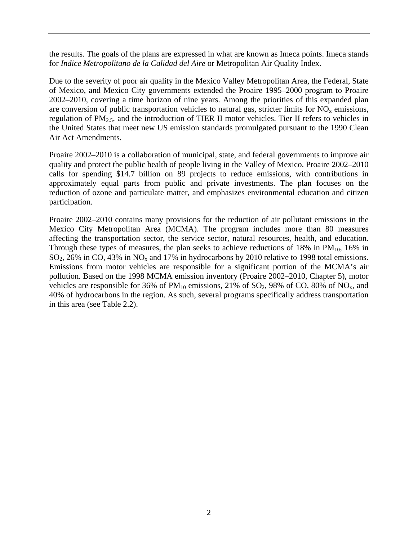the results. The goals of the plans are expressed in what are known as Imeca points. Imeca stands for *Indice Metropolitano de la Calidad del Aire* or Metropolitan Air Quality Index.

Due to the severity of poor air quality in the Mexico Valley Metropolitan Area, the Federal, State of Mexico, and Mexico City governments extended the Proaire 1995–2000 program to Proaire 2002–2010, covering a time horizon of nine years. Among the priorities of this expanded plan are conversion of public transportation vehicles to natural gas, stricter limits for  $NO<sub>x</sub>$  emissions, regulation of PM2.5, and the introduction of TIER II motor vehicles. Tier II refers to vehicles in the United States that meet new US emission standards promulgated pursuant to the 1990 Clean Air Act Amendments.

Proaire 2002–2010 is a collaboration of municipal, state, and federal governments to improve air quality and protect the public health of people living in the Valley of Mexico. Proaire 2002–2010 calls for spending \$14.7 billion on 89 projects to reduce emissions, with contributions in approximately equal parts from public and private investments. The plan focuses on the reduction of ozone and particulate matter, and emphasizes environmental education and citizen participation.

Proaire 2002–2010 contains many provisions for the reduction of air pollutant emissions in the Mexico City Metropolitan Area (MCMA). The program includes more than 80 measures affecting the transportation sector, the service sector, natural resources, health, and education. Through these types of measures, the plan seeks to achieve reductions of 18% in  $PM_{10}$ , 16% in  $SO_2$ , 26% in CO, 43% in NO<sub>x</sub> and 17% in hydrocarbons by 2010 relative to 1998 total emissions. Emissions from motor vehicles are responsible for a significant portion of the MCMA's air pollution. Based on the 1998 MCMA emission inventory (Proaire 2002–2010, Chapter 5), motor vehicles are responsible for 36% of  $PM_{10}$  emissions, 21% of SO<sub>2</sub>, 98% of CO, 80% of NO<sub>x</sub>, and 40% of hydrocarbons in the region. As such, several programs specifically address transportation in this area (see Table 2.2).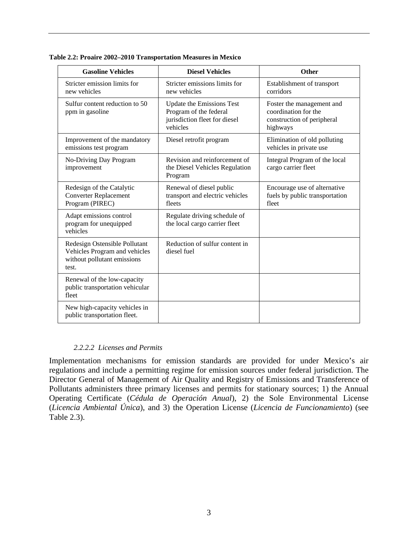| <b>Gasoline Vehicles</b>                                                                               | <b>Diesel Vehicles</b>                                                                                  | Other                                                                                       |
|--------------------------------------------------------------------------------------------------------|---------------------------------------------------------------------------------------------------------|---------------------------------------------------------------------------------------------|
| Stricter emission limits for<br>new vehicles                                                           | Stricter emissions limits for<br>new vehicles                                                           | Establishment of transport<br>corridors                                                     |
| Sulfur content reduction to 50<br>ppm in gasoline                                                      | <b>Update the Emissions Test</b><br>Program of the federal<br>jurisdiction fleet for diesel<br>vehicles | Foster the management and<br>coordination for the<br>construction of peripheral<br>highways |
| Improvement of the mandatory<br>emissions test program                                                 | Diesel retrofit program                                                                                 | Elimination of old polluting<br>vehicles in private use                                     |
| No-Driving Day Program<br>improvement                                                                  | Revision and reinforcement of<br>the Diesel Vehicles Regulation<br>Program                              | Integral Program of the local<br>cargo carrier fleet                                        |
| Redesign of the Catalytic<br><b>Converter Replacement</b><br>Program (PIREC)                           | Renewal of diesel public<br>transport and electric vehicles<br>fleets                                   | Encourage use of alternative<br>fuels by public transportation<br>fleet                     |
| Adapt emissions control<br>program for unequipped<br>vehicles                                          | Regulate driving schedule of<br>the local cargo carrier fleet                                           |                                                                                             |
| Redesign Ostensible Pollutant<br>Vehicles Program and vehicles<br>without pollutant emissions<br>test. | Reduction of sulfur content in<br>diesel fuel                                                           |                                                                                             |
| Renewal of the low-capacity<br>public transportation vehicular<br>fleet                                |                                                                                                         |                                                                                             |
| New high-capacity vehicles in<br>public transportation fleet.                                          |                                                                                                         |                                                                                             |

**Table 2.2: Proaire 2002–2010 Transportation Measures in Mexico** 

#### *2.2.2.2 Licenses and Permits*

Implementation mechanisms for emission standards are provided for under Mexico's air regulations and include a permitting regime for emission sources under federal jurisdiction. The Director General of Management of Air Quality and Registry of Emissions and Transference of Pollutants administers three primary licenses and permits for stationary sources; 1) the Annual Operating Certificate (*Cédula de Operación Anual*), 2) the Sole Environmental License (*Licencia Ambiental Única*), and 3) the Operation License (*Licencia de Funcionamiento*) (see Table 2.3).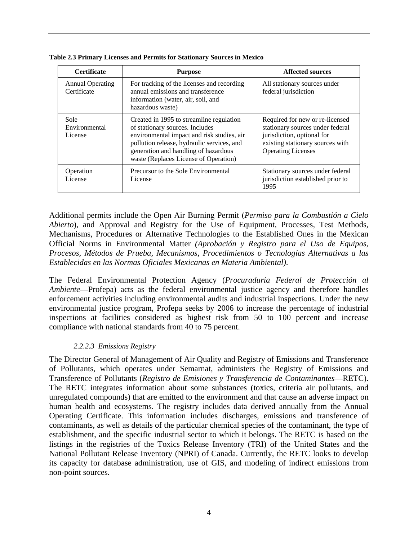| <b>Certificate</b>                     | <b>Purpose</b>                                                                                                                                                                                                                                           | <b>Affected sources</b>                                                                                                                                            |
|----------------------------------------|----------------------------------------------------------------------------------------------------------------------------------------------------------------------------------------------------------------------------------------------------------|--------------------------------------------------------------------------------------------------------------------------------------------------------------------|
| <b>Annual Operating</b><br>Certificate | For tracking of the licenses and recording<br>annual emissions and transference<br>information (water, air, soil, and<br>hazardous waste)                                                                                                                | All stationary sources under<br>federal jurisdiction                                                                                                               |
| Sole<br>Environmental<br>License       | Created in 1995 to streamline regulation<br>of stationary sources. Includes<br>environmental impact and risk studies, air<br>pollution release, hydraulic services, and<br>generation and handling of hazardous<br>waste (Replaces License of Operation) | Required for new or re-licensed<br>stationary sources under federal<br>jurisdiction, optional for<br>existing stationary sources with<br><b>Operating Licenses</b> |
| Operation<br>License                   | Precursor to the Sole Environmental<br>License                                                                                                                                                                                                           | Stationary sources under federal<br>jurisdiction established prior to<br>1995                                                                                      |

**Table 2.3 Primary Licenses and Permits for Stationary Sources in Mexico** 

Additional permits include the Open Air Burning Permit (*Permiso para la Combustión a Cielo Abierto*), and Approval and Registry for the Use of Equipment, Processes, Test Methods, Mechanisms, Procedures or Alternative Technologies to the Established Ones in the Mexican Official Norms in Environmental Matter *(Aprobación y Registro para el Uso de Equipos, Procesos, Métodos de Prueba, Mecanismos, Procedimientos o Tecnologías Alternativas a las Establecidas en las Normas Oficiales Mexicanas en Materia Ambiental)*.

The Federal Environmental Protection Agency (*Procuraduría Federal de Protección al Ambiente*—Profepa) acts as the federal environmental justice agency and therefore handles enforcement activities including environmental audits and industrial inspections. Under the new environmental justice program, Profepa seeks by 2006 to increase the percentage of industrial inspections at facilities considered as highest risk from 50 to 100 percent and increase compliance with national standards from 40 to 75 percent.

#### *2.2.2.3 Emissions Registry*

The Director General of Management of Air Quality and Registry of Emissions and Transference of Pollutants, which operates under Semarnat, administers the Registry of Emissions and Transference of Pollutants (*Registro de Emisiones y Transferencia de Contaminantes*—RETC). The RETC integrates information about some substances (toxics, criteria air pollutants, and unregulated compounds) that are emitted to the environment and that cause an adverse impact on human health and ecosystems. The registry includes data derived annually from the Annual Operating Certificate. This information includes discharges, emissions and transference of contaminants, as well as details of the particular chemical species of the contaminant, the type of establishment, and the specific industrial sector to which it belongs. The RETC is based on the listings in the registries of the Toxics Release Inventory (TRI) of the United States and the National Pollutant Release Inventory (NPRI) of Canada. Currently, the RETC looks to develop its capacity for database administration, use of GIS, and modeling of indirect emissions from non-point sources.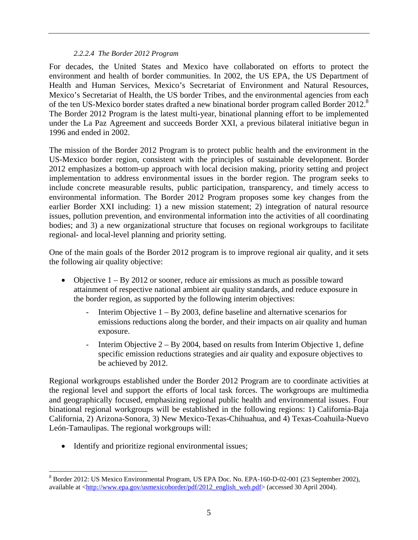#### *2.2.2.4 The Border 2012 Program*

For decades, the United States and Mexico have collaborated on efforts to protect the environment and health of border communities. In 2002, the US EPA, the US Department of Health and Human Services, Mexico's Secretariat of Environment and Natural Resources, Mexico's Secretariat of Health, the US border Tribes, and the environmental agencies from each of the ten US-Mexico border states drafted a new binational border program called Border 2012.<sup>8</sup> The Border 2012 Program is the latest multi-year, binational planning effort to be implemented under the La Paz Agreement and succeeds Border XXI, a previous bilateral initiative begun in 1996 and ended in 2002.

The mission of the Border 2012 Program is to protect public health and the environment in the US-Mexico border region, consistent with the principles of sustainable development. Border 2012 emphasizes a bottom-up approach with local decision making, priority setting and project implementation to address environmental issues in the border region. The program seeks to include concrete measurable results, public participation, transparency, and timely access to environmental information. The Border 2012 Program proposes some key changes from the earlier Border XXI including: 1) a new mission statement; 2) integration of natural resource issues, pollution prevention, and environmental information into the activities of all coordinating bodies; and 3) a new organizational structure that focuses on regional workgroups to facilitate regional- and local-level planning and priority setting.

One of the main goals of the Border 2012 program is to improve regional air quality, and it sets the following air quality objective:

- Objective 1 By 2012 or sooner, reduce air emissions as much as possible toward attainment of respective national ambient air quality standards, and reduce exposure in the border region, as supported by the following interim objectives:
	- Interim Objective  $1 By 2003$ , define baseline and alternative scenarios for emissions reductions along the border, and their impacts on air quality and human exposure.
	- Interim Objective  $2 By\ 2004$ , based on results from Interim Objective 1, define specific emission reductions strategies and air quality and exposure objectives to be achieved by 2012.

Regional workgroups established under the Border 2012 Program are to coordinate activities at the regional level and support the efforts of local task forces. The workgroups are multimedia and geographically focused, emphasizing regional public health and environmental issues. Four binational regional workgroups will be established in the following regions: 1) California-Baja California, 2) Arizona-Sonora, 3) New Mexico-Texas-Chihuahua, and 4) Texas-Coahuila-Nuevo León-Tamaulipas. The regional workgroups will:

• Identify and prioritize regional environmental issues;

1

<sup>&</sup>lt;sup>8</sup> Border 2012: US Mexico Environmental Program, US EPA Doc. No. EPA-160-D-02-001 (23 September 2002), available at <http://www.epa.gov/usmexicoborder/pdf/2012\_english\_web.pdf> (accessed 30 April 2004).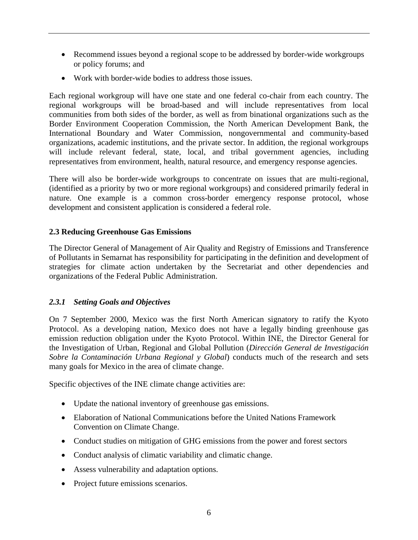- Recommend issues beyond a regional scope to be addressed by border-wide workgroups or policy forums; and
- Work with border-wide bodies to address those issues.

Each regional workgroup will have one state and one federal co-chair from each country. The regional workgroups will be broad-based and will include representatives from local communities from both sides of the border, as well as from binational organizations such as the Border Environment Cooperation Commission, the North American Development Bank, the International Boundary and Water Commission, nongovernmental and community-based organizations, academic institutions, and the private sector. In addition, the regional workgroups will include relevant federal, state, local, and tribal government agencies, including representatives from environment, health, natural resource, and emergency response agencies.

There will also be border-wide workgroups to concentrate on issues that are multi-regional, (identified as a priority by two or more regional workgroups) and considered primarily federal in nature. One example is a common cross-border emergency response protocol, whose development and consistent application is considered a federal role.

#### **2.3 Reducing Greenhouse Gas Emissions**

The Director General of Management of Air Quality and Registry of Emissions and Transference of Pollutants in Semarnat has responsibility for participating in the definition and development of strategies for climate action undertaken by the Secretariat and other dependencies and organizations of the Federal Public Administration.

### *2.3.1 Setting Goals and Objectives*

On 7 September 2000, Mexico was the first North American signatory to ratify the Kyoto Protocol. As a developing nation, Mexico does not have a legally binding greenhouse gas emission reduction obligation under the Kyoto Protocol. Within INE, the Director General for the Investigation of Urban, Regional and Global Pollution (*Dirección General de Investigación Sobre la Contaminación Urbana Regional y Global*) conducts much of the research and sets many goals for Mexico in the area of climate change.

Specific objectives of the INE climate change activities are:

- Update the national inventory of greenhouse gas emissions.
- Elaboration of National Communications before the United Nations Framework Convention on Climate Change.
- Conduct studies on mitigation of GHG emissions from the power and forest sectors
- Conduct analysis of climatic variability and climatic change.
- Assess vulnerability and adaptation options.
- Project future emissions scenarios.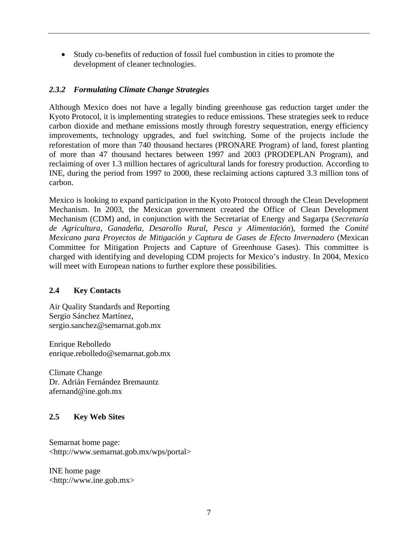• Study co-benefits of reduction of fossil fuel combustion in cities to promote the development of cleaner technologies.

## *2.3.2 Formulating Climate Change Strategies*

Although Mexico does not have a legally binding greenhouse gas reduction target under the Kyoto Protocol, it is implementing strategies to reduce emissions. These strategies seek to reduce carbon dioxide and methane emissions mostly through forestry sequestration, energy efficiency improvements, technology upgrades, and fuel switching. Some of the projects include the reforestation of more than 740 thousand hectares (PRONARE Program) of land, forest planting of more than 47 thousand hectares between 1997 and 2003 (PRODEPLAN Program), and reclaiming of over 1.3 million hectares of agricultural lands for forestry production. According to INE, during the period from 1997 to 2000, these reclaiming actions captured 3.3 million tons of carbon.

Mexico is looking to expand participation in the Kyoto Protocol through the Clean Development Mechanism. In 2003, the Mexican government created the Office of Clean Development Mechanism (CDM) and, in conjunction with the Secretariat of Energy and Sagarpa (*Secretaría de Agricultura, Ganadeña, Desarollo Rural, Pesca y Alimentación*), formed the *Comité Mexicano para Proyectos de Mitigación y Captura de Gases de Efecto Invernadero* (Mexican Committee for Mitigation Projects and Capture of Greenhouse Gases). This committee is charged with identifying and developing CDM projects for Mexico's industry. In 2004, Mexico will meet with European nations to further explore these possibilities.

### **2.4 Key Contacts**

Air Quality Standards and Reporting Sergio Sánchez Martínez, sergio.sanchez@semarnat.gob.mx

Enrique Rebolledo enrique.rebolledo@semarnat.gob.mx

Climate Change Dr. Adrián Fernández Bremauntz afernand@ine.gob.mx

### **2.5 Key Web Sites**

Semarnat home page: <http://www.semarnat.gob.mx/wps/portal>

INE home page <http://www.ine.gob.mx>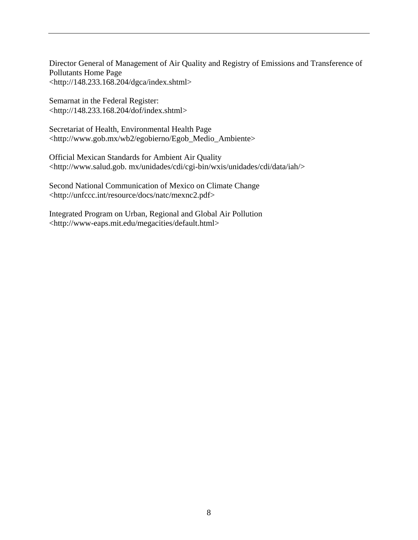Director General of Management of Air Quality and Registry of Emissions and Transference of Pollutants Home Page <http://148.233.168.204/dgca/index.shtml>

Semarnat in the Federal Register: <http://148.233.168.204/dof/index.shtml>

Secretariat of Health, Environmental Health Page <http://www.gob.mx/wb2/egobierno/Egob\_Medio\_Ambiente>

Official Mexican Standards for Ambient Air Quality <http://www.salud.gob. mx/unidades/cdi/cgi-bin/wxis/unidades/cdi/data/iah/>

Second National Communication of Mexico on Climate Change <http://unfccc.int/resource/docs/natc/mexnc2.pdf>

Integrated Program on Urban, Regional and Global Air Pollution <http://www-eaps.mit.edu/megacities/default.html>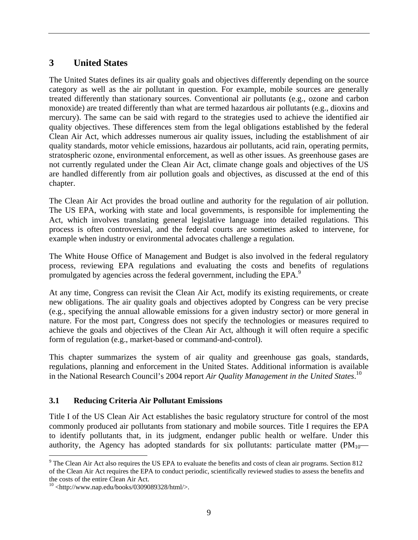# **3 United States**

The United States defines its air quality goals and objectives differently depending on the source category as well as the air pollutant in question. For example, mobile sources are generally treated differently than stationary sources. Conventional air pollutants (e.g., ozone and carbon monoxide) are treated differently than what are termed hazardous air pollutants (e.g., dioxins and mercury). The same can be said with regard to the strategies used to achieve the identified air quality objectives. These differences stem from the legal obligations established by the federal Clean Air Act, which addresses numerous air quality issues, including the establishment of air quality standards, motor vehicle emissions, hazardous air pollutants, acid rain, operating permits, stratospheric ozone, environmental enforcement, as well as other issues. As greenhouse gases are not currently regulated under the Clean Air Act, climate change goals and objectives of the US are handled differently from air pollution goals and objectives, as discussed at the end of this chapter.

The Clean Air Act provides the broad outline and authority for the regulation of air pollution. The US EPA, working with state and local governments, is responsible for implementing the Act, which involves translating general legislative language into detailed regulations. This process is often controversial, and the federal courts are sometimes asked to intervene, for example when industry or environmental advocates challenge a regulation.

The White House Office of Management and Budget is also involved in the federal regulatory process, reviewing EPA regulations and evaluating the costs and benefits of regulations promulgated by agencies across the federal government, including the EPA.<sup>9</sup>

At any time, Congress can revisit the Clean Air Act, modify its existing requirements, or create new obligations. The air quality goals and objectives adopted by Congress can be very precise (e.g., specifying the annual allowable emissions for a given industry sector) or more general in nature. For the most part, Congress does not specify the technologies or measures required to achieve the goals and objectives of the Clean Air Act, although it will often require a specific form of regulation (e.g., market-based or command-and-control).

This chapter summarizes the system of air quality and greenhouse gas goals, standards, regulations, planning and enforcement in the United States. Additional information is available in the National Research Council's 2004 report *Air Quality Management in the United States*. 10

# **3.1 Reducing Criteria Air Pollutant Emissions**

Title I of the US Clean Air Act establishes the basic regulatory structure for control of the most commonly produced air pollutants from stationary and mobile sources. Title I requires the EPA to identify pollutants that, in its judgment, endanger public health or welfare. Under this authority, the Agency has adopted standards for six pollutants: particulate matter  $(PM_{10}$ —

<u>.</u>

 $9^9$  The Clean Air Act also requires the US EPA to evaluate the benefits and costs of clean air programs. Section 812 of the Clean Air Act requires the EPA to conduct periodic, scientifically reviewed studies to assess the benefits and the costs of the entire Clean Air Act.

 $10$  <http://www.nap.edu/books/0309089328/html/>.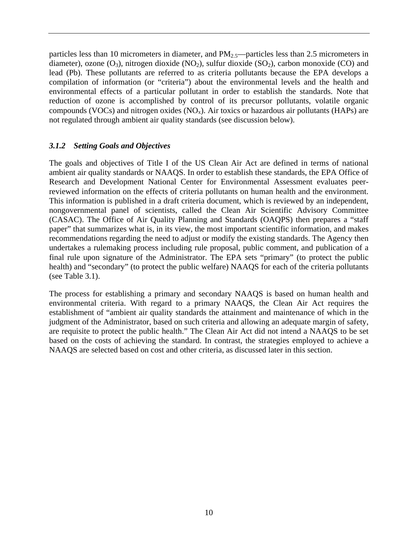particles less than 10 micrometers in diameter, and PM<sub>2.5</sub>—particles less than 2.5 micrometers in diameter), ozone  $(O_3)$ , nitrogen dioxide  $(NO_2)$ , sulfur dioxide  $(SO_2)$ , carbon monoxide  $(CO)$  and lead (Pb). These pollutants are referred to as criteria pollutants because the EPA develops a compilation of information (or "criteria") about the environmental levels and the health and environmental effects of a particular pollutant in order to establish the standards. Note that reduction of ozone is accomplished by control of its precursor pollutants, volatile organic compounds (VOCs) and nitrogen oxides  $(NO<sub>x</sub>)$ . Air toxics or hazardous air pollutants (HAPs) are not regulated through ambient air quality standards (see discussion below).

#### *3.1.2 Setting Goals and Objectives*

The goals and objectives of Title I of the US Clean Air Act are defined in terms of national ambient air quality standards or NAAQS. In order to establish these standards, the EPA Office of Research and Development National Center for Environmental Assessment evaluates peerreviewed information on the effects of criteria pollutants on human health and the environment. This information is published in a draft criteria document, which is reviewed by an independent, nongovernmental panel of scientists, called the Clean Air Scientific Advisory Committee (CASAC). The Office of Air Quality Planning and Standards (OAQPS) then prepares a "staff paper" that summarizes what is, in its view, the most important scientific information, and makes recommendations regarding the need to adjust or modify the existing standards. The Agency then undertakes a rulemaking process including rule proposal, public comment, and publication of a final rule upon signature of the Administrator. The EPA sets "primary" (to protect the public health) and "secondary" (to protect the public welfare) NAAQS for each of the criteria pollutants (see Table 3.1).

The process for establishing a primary and secondary NAAQS is based on human health and environmental criteria. With regard to a primary NAAQS, the Clean Air Act requires the establishment of "ambient air quality standards the attainment and maintenance of which in the judgment of the Administrator, based on such criteria and allowing an adequate margin of safety, are requisite to protect the public health." The Clean Air Act did not intend a NAAQS to be set based on the costs of achieving the standard. In contrast, the strategies employed to achieve a NAAQS are selected based on cost and other criteria, as discussed later in this section.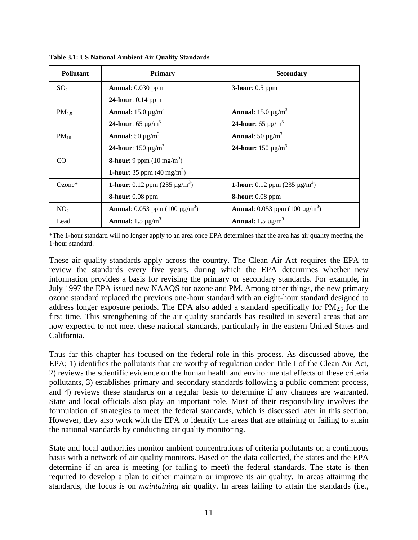| <b>Pollutant</b> | <b>Primary</b>                                         | <b>Secondary</b>                                       |
|------------------|--------------------------------------------------------|--------------------------------------------------------|
| SO <sub>2</sub>  | <b>Annual:</b> 0.030 ppm                               | $3$ -hour: 0.5 ppm                                     |
|                  | 24-hour: 0.14 ppm                                      |                                                        |
| $PM_{2.5}$       | <b>Annual:</b> 15.0 $\mu$ g/m <sup>3</sup>             | <b>Annual:</b> 15.0 $\mu$ g/m <sup>3</sup>             |
|                  | <b>24-hour:</b> 65 $\mu$ g/m <sup>3</sup>              | <b>24-hour:</b> 65 $\mu$ g/m <sup>3</sup>              |
| $PM_{10}$        | <b>Annual:</b> 50 $\mu$ g/m <sup>3</sup>               | <b>Annual:</b> 50 $\mu$ g/m <sup>3</sup>               |
|                  | <b>24-hour:</b> 150 $\mu$ g/m <sup>3</sup>             | <b>24-hour:</b> 150 $\mu$ g/m <sup>3</sup>             |
| CO               | <b>8-hour:</b> 9 ppm $(10 \text{ mg/m}^3)$             |                                                        |
|                  | <b>1-hour:</b> 35 ppm $(40 \text{ mg/m}^3)$            |                                                        |
| $Ozone*$         | <b>1-hour:</b> 0.12 ppm $(235 \mu g/m^3)$              | <b>1-hour:</b> 0.12 ppm $(235 \mu g/m^3)$              |
|                  | <b>8-hour:</b> 0.08 ppm                                | <b>8-hour</b> : $0.08$ ppm                             |
| NO <sub>2</sub>  | <b>Annual:</b> 0.053 ppm (100 $\mu$ g/m <sup>3</sup> ) | <b>Annual:</b> 0.053 ppm (100 $\mu$ g/m <sup>3</sup> ) |
| Lead             | <b>Annual:</b> 1.5 $\mu$ g/m <sup>3</sup>              | <b>Annual:</b> 1.5 $\mu$ g/m <sup>3</sup>              |

**Table 3.1: US National Ambient Air Quality Standards** 

\*The 1-hour standard will no longer apply to an area once EPA determines that the area has air quality meeting the 1-hour standard.

These air quality standards apply across the country. The Clean Air Act requires the EPA to review the standards every five years, during which the EPA determines whether new information provides a basis for revising the primary or secondary standards. For example, in July 1997 the EPA issued new NAAQS for ozone and PM. Among other things, the new primary ozone standard replaced the previous one-hour standard with an eight-hour standard designed to address longer exposure periods. The EPA also added a standard specifically for  $PM_{2.5}$  for the first time. This strengthening of the air quality standards has resulted in several areas that are now expected to not meet these national standards, particularly in the eastern United States and California.

Thus far this chapter has focused on the federal role in this process. As discussed above, the EPA; 1) identifies the pollutants that are worthy of regulation under Title I of the Clean Air Act, 2) reviews the scientific evidence on the human health and environmental effects of these criteria pollutants, 3) establishes primary and secondary standards following a public comment process, and 4) reviews these standards on a regular basis to determine if any changes are warranted. State and local officials also play an important role. Most of their responsibility involves the formulation of strategies to meet the federal standards, which is discussed later in this section. However, they also work with the EPA to identify the areas that are attaining or failing to attain the national standards by conducting air quality monitoring.

State and local authorities monitor ambient concentrations of criteria pollutants on a continuous basis with a network of air quality monitors. Based on the data collected, the states and the EPA determine if an area is meeting (or failing to meet) the federal standards. The state is then required to develop a plan to either maintain or improve its air quality. In areas attaining the standards, the focus is on *maintaining* air quality. In areas failing to attain the standards (i.e.,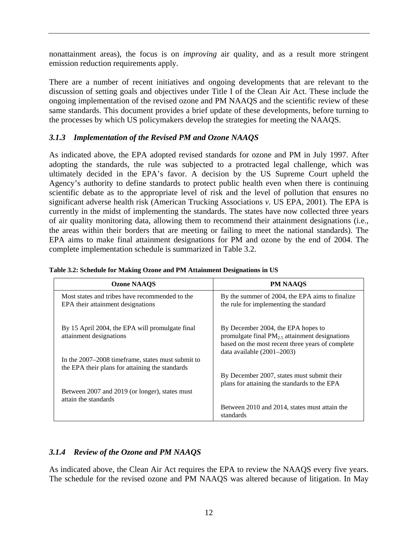nonattainment areas), the focus is on *improving* air quality, and as a result more stringent emission reduction requirements apply.

There are a number of recent initiatives and ongoing developments that are relevant to the discussion of setting goals and objectives under Title I of the Clean Air Act. These include the ongoing implementation of the revised ozone and PM NAAQS and the scientific review of these same standards. This document provides a brief update of these developments, before turning to the processes by which US policymakers develop the strategies for meeting the NAAQS.

### *3.1.3 Implementation of the Revised PM and Ozone NAAQS*

As indicated above, the EPA adopted revised standards for ozone and PM in July 1997. After adopting the standards, the rule was subjected to a protracted legal challenge, which was ultimately decided in the EPA's favor. A decision by the US Supreme Court upheld the Agency's authority to define standards to protect public health even when there is continuing scientific debate as to the appropriate level of risk and the level of pollution that ensures no significant adverse health risk (American Trucking Associations *v.* US EPA, 2001). The EPA is currently in the midst of implementing the standards. The states have now collected three years of air quality monitoring data, allowing them to recommend their attainment designations (i.e., the areas within their borders that are meeting or failing to meet the national standards). The EPA aims to make final attainment designations for PM and ozone by the end of 2004. The complete implementation schedule is summarized in Table 3.2.

| <b>Ozone NAAOS</b>                                                                                    | <b>PM NAAOS</b>                                                                                                                                                            |
|-------------------------------------------------------------------------------------------------------|----------------------------------------------------------------------------------------------------------------------------------------------------------------------------|
| Most states and tribes have recommended to the<br>EPA their attainment designations                   | By the summer of 2004, the EPA aims to finalize<br>the rule for implementing the standard                                                                                  |
| By 15 April 2004, the EPA will promulgate final<br>attainment designations                            | By December 2004, the EPA hopes to<br>promulgate final $PM2.5$ attainment designations<br>based on the most recent three years of complete<br>data available $(2001-2003)$ |
| In the 2007–2008 time frame, states must submit to<br>the EPA their plans for attaining the standards |                                                                                                                                                                            |
| Between 2007 and 2019 (or longer), states must                                                        | By December 2007, states must submit their<br>plans for attaining the standards to the EPA                                                                                 |
| attain the standards                                                                                  |                                                                                                                                                                            |
|                                                                                                       | Between 2010 and 2014, states must attain the<br>standards                                                                                                                 |

|  |  | Table 3.2: Schedule for Making Ozone and PM Attainment Designations in US |  |
|--|--|---------------------------------------------------------------------------|--|
|  |  |                                                                           |  |

# *3.1.4 Review of the Ozone and PM NAAQS*

As indicated above, the Clean Air Act requires the EPA to review the NAAQS every five years. The schedule for the revised ozone and PM NAAQS was altered because of litigation. In May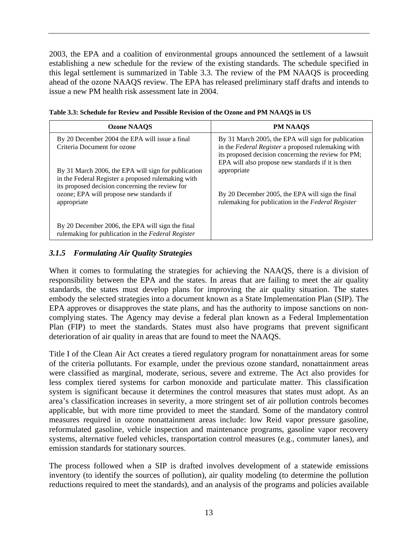2003, the EPA and a coalition of environmental groups announced the settlement of a lawsuit establishing a new schedule for the review of the existing standards. The schedule specified in this legal settlement is summarized in Table 3.3. The review of the PM NAAQS is proceeding ahead of the ozone NAAQS review. The EPA has released preliminary staff drafts and intends to issue a new PM health risk assessment late in 2004.

| <b>Ozone NAAOS</b>                                                                                                                                           | <b>PM NAAOS</b>                                                                                                                                                                                                       |
|--------------------------------------------------------------------------------------------------------------------------------------------------------------|-----------------------------------------------------------------------------------------------------------------------------------------------------------------------------------------------------------------------|
| By 20 December 2004 the EPA will issue a final<br>Criteria Document for ozone                                                                                | By 31 March 2005, the EPA will sign for publication<br>in the Federal Register a proposed rulemaking with<br>its proposed decision concerning the review for PM;<br>EPA will also propose new standards if it is then |
| By 31 March 2006, the EPA will sign for publication<br>in the Federal Register a proposed rulemaking with<br>its proposed decision concerning the review for | appropriate                                                                                                                                                                                                           |
| ozone; EPA will propose new standards if<br>appropriate                                                                                                      | By 20 December 2005, the EPA will sign the final<br>rulemaking for publication in the Federal Register                                                                                                                |
| By 20 December 2006, the EPA will sign the final<br>rulemaking for publication in the Federal Register                                                       |                                                                                                                                                                                                                       |

|  | Table 3.3: Schedule for Review and Possible Revision of the Ozone and PM NAAQS in US |
|--|--------------------------------------------------------------------------------------|
|  |                                                                                      |

# *3.1.5 Formulating Air Quality Strategies*

When it comes to formulating the strategies for achieving the NAAQS, there is a division of responsibility between the EPA and the states. In areas that are failing to meet the air quality standards, the states must develop plans for improving the air quality situation. The states embody the selected strategies into a document known as a State Implementation Plan (SIP). The EPA approves or disapproves the state plans, and has the authority to impose sanctions on noncomplying states. The Agency may devise a federal plan known as a Federal Implementation Plan (FIP) to meet the standards. States must also have programs that prevent significant deterioration of air quality in areas that are found to meet the NAAQS.

Title I of the Clean Air Act creates a tiered regulatory program for nonattainment areas for some of the criteria pollutants. For example, under the previous ozone standard, nonattainment areas were classified as marginal, moderate, serious, severe and extreme. The Act also provides for less complex tiered systems for carbon monoxide and particulate matter. This classification system is significant because it determines the control measures that states must adopt. As an area's classification increases in severity, a more stringent set of air pollution controls becomes applicable, but with more time provided to meet the standard. Some of the mandatory control measures required in ozone nonattainment areas include: low Reid vapor pressure gasoline, reformulated gasoline, vehicle inspection and maintenance programs, gasoline vapor recovery systems, alternative fueled vehicles, transportation control measures (e.g., commuter lanes), and emission standards for stationary sources.

The process followed when a SIP is drafted involves development of a statewide emissions inventory (to identify the sources of pollution), air quality modeling (to determine the pollution reductions required to meet the standards), and an analysis of the programs and policies available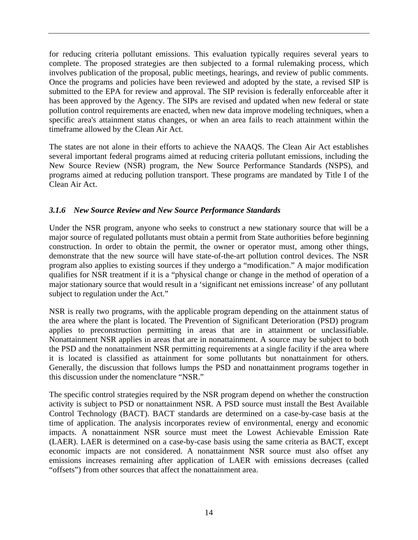for reducing criteria pollutant emissions. This evaluation typically requires several years to complete. The proposed strategies are then subjected to a formal rulemaking process, which involves publication of the proposal, public meetings, hearings, and review of public comments. Once the programs and policies have been reviewed and adopted by the state, a revised SIP is submitted to the EPA for review and approval. The SIP revision is federally enforceable after it has been approved by the Agency. The SIPs are revised and updated when new federal or state pollution control requirements are enacted, when new data improve modeling techniques, when a specific area's attainment status changes, or when an area fails to reach attainment within the timeframe allowed by the Clean Air Act.

The states are not alone in their efforts to achieve the NAAQS. The Clean Air Act establishes several important federal programs aimed at reducing criteria pollutant emissions, including the New Source Review (NSR) program, the New Source Performance Standards (NSPS), and programs aimed at reducing pollution transport. These programs are mandated by Title I of the Clean Air Act.

# *3.1.6 New Source Review and New Source Performance Standards*

Under the NSR program, anyone who seeks to construct a new stationary source that will be a major source of regulated pollutants must obtain a permit from State authorities before beginning construction. In order to obtain the permit, the owner or operator must, among other things, demonstrate that the new source will have state-of-the-art pollution control devices. The NSR program also applies to existing sources if they undergo a "modification." A major modification qualifies for NSR treatment if it is a "physical change or change in the method of operation of a major stationary source that would result in a 'significant net emissions increase' of any pollutant subject to regulation under the Act."

NSR is really two programs, with the applicable program depending on the attainment status of the area where the plant is located. The Prevention of Significant Deterioration (PSD) program applies to preconstruction permitting in areas that are in attainment or unclassifiable. Nonattainment NSR applies in areas that are in nonattainment. A source may be subject to both the PSD and the nonattainment NSR permitting requirements at a single facility if the area where it is located is classified as attainment for some pollutants but nonattainment for others. Generally, the discussion that follows lumps the PSD and nonattainment programs together in this discussion under the nomenclature "NSR."

The specific control strategies required by the NSR program depend on whether the construction activity is subject to PSD or nonattainment NSR. A PSD source must install the Best Available Control Technology (BACT). BACT standards are determined on a case-by-case basis at the time of application. The analysis incorporates review of environmental, energy and economic impacts. A nonattainment NSR source must meet the Lowest Achievable Emission Rate (LAER). LAER is determined on a case-by-case basis using the same criteria as BACT, except economic impacts are not considered. A nonattainment NSR source must also offset any emissions increases remaining after application of LAER with emissions decreases (called "offsets") from other sources that affect the nonattainment area.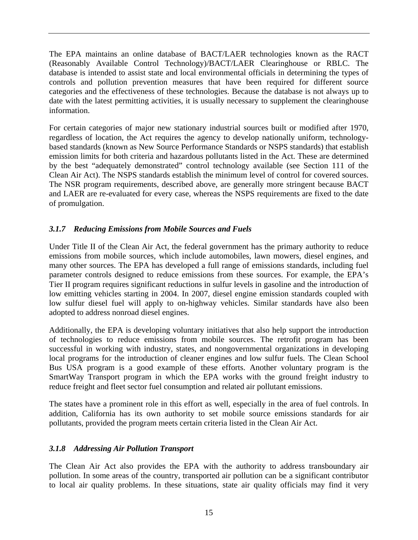The EPA maintains an online database of BACT/LAER technologies known as the RACT (Reasonably Available Control Technology)/BACT/LAER Clearinghouse or RBLC. The database is intended to assist state and local environmental officials in determining the types of controls and pollution prevention measures that have been required for different source categories and the effectiveness of these technologies. Because the database is not always up to date with the latest permitting activities, it is usually necessary to supplement the clearinghouse information.

For certain categories of major new stationary industrial sources built or modified after 1970, regardless of location, the Act requires the agency to develop nationally uniform, technologybased standards (known as New Source Performance Standards or NSPS standards) that establish emission limits for both criteria and hazardous pollutants listed in the Act. These are determined by the best "adequately demonstrated" control technology available (see Section 111 of the Clean Air Act). The NSPS standards establish the minimum level of control for covered sources. The NSR program requirements, described above, are generally more stringent because BACT and LAER are re-evaluated for every case, whereas the NSPS requirements are fixed to the date of promulgation.

# *3.1.7 Reducing Emissions from Mobile Sources and Fuels*

Under Title II of the Clean Air Act, the federal government has the primary authority to reduce emissions from mobile sources, which include automobiles, lawn mowers, diesel engines, and many other sources. The EPA has developed a full range of emissions standards, including fuel parameter controls designed to reduce emissions from these sources. For example, the EPA's Tier II program requires significant reductions in sulfur levels in gasoline and the introduction of low emitting vehicles starting in 2004. In 2007, diesel engine emission standards coupled with low sulfur diesel fuel will apply to on-highway vehicles. Similar standards have also been adopted to address nonroad diesel engines.

Additionally, the EPA is developing voluntary initiatives that also help support the introduction of technologies to reduce emissions from mobile sources. The retrofit program has been successful in working with industry, states, and nongovernmental organizations in developing local programs for the introduction of cleaner engines and low sulfur fuels. The Clean School Bus USA program is a good example of these efforts. Another voluntary program is the SmartWay Transport program in which the EPA works with the ground freight industry to reduce freight and fleet sector fuel consumption and related air pollutant emissions.

The states have a prominent role in this effort as well, especially in the area of fuel controls. In addition, California has its own authority to set mobile source emissions standards for air pollutants, provided the program meets certain criteria listed in the Clean Air Act.

### *3.1.8 Addressing Air Pollution Transport*

The Clean Air Act also provides the EPA with the authority to address transboundary air pollution. In some areas of the country, transported air pollution can be a significant contributor to local air quality problems. In these situations, state air quality officials may find it very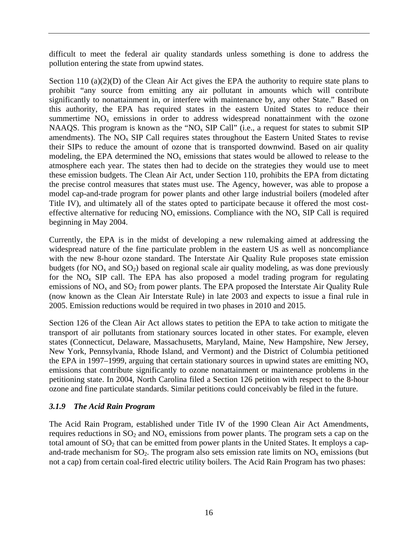difficult to meet the federal air quality standards unless something is done to address the pollution entering the state from upwind states.

Section 110 (a)(2)(D) of the Clean Air Act gives the EPA the authority to require state plans to prohibit "any source from emitting any air pollutant in amounts which will contribute significantly to nonattainment in, or interfere with maintenance by, any other State." Based on this authority, the EPA has required states in the eastern United States to reduce their summertime  $NO<sub>x</sub>$  emissions in order to address widespread nonattainment with the ozone NAAQS. This program is known as the "NO<sub>x</sub> SIP Call" (i.e., a request for states to submit SIP amendments). The  $NO<sub>x</sub>$  SIP Call requires states throughout the Eastern United States to revise their SIPs to reduce the amount of ozone that is transported downwind. Based on air quality modeling, the EPA determined the  $NO<sub>x</sub>$  emissions that states would be allowed to release to the atmosphere each year. The states then had to decide on the strategies they would use to meet these emission budgets. The Clean Air Act, under Section 110, prohibits the EPA from dictating the precise control measures that states must use. The Agency, however, was able to propose a model cap-and-trade program for power plants and other large industrial boilers (modeled after Title IV), and ultimately all of the states opted to participate because it offered the most costeffective alternative for reducing  $NO<sub>x</sub>$  emissions. Compliance with the  $NO<sub>x</sub>$  SIP Call is required beginning in May 2004.

Currently, the EPA is in the midst of developing a new rulemaking aimed at addressing the widespread nature of the fine particulate problem in the eastern US as well as noncompliance with the new 8-hour ozone standard. The Interstate Air Quality Rule proposes state emission budgets (for  $NO<sub>x</sub>$  and  $SO<sub>2</sub>$ ) based on regional scale air quality modeling, as was done previously for the  $NO<sub>x</sub>$  SIP call. The EPA has also proposed a model trading program for regulating emissions of  $NO<sub>x</sub>$  and  $SO<sub>2</sub>$  from power plants. The EPA proposed the Interstate Air Quality Rule (now known as the Clean Air Interstate Rule) in late 2003 and expects to issue a final rule in 2005. Emission reductions would be required in two phases in 2010 and 2015.

Section 126 of the Clean Air Act allows states to petition the EPA to take action to mitigate the transport of air pollutants from stationary sources located in other states. For example, eleven states (Connecticut, Delaware, Massachusetts, Maryland, Maine, New Hampshire, New Jersey, New York, Pennsylvania, Rhode Island, and Vermont) and the District of Columbia petitioned the EPA in 1997–1999, arguing that certain stationary sources in upwind states are emitting  $NO<sub>x</sub>$ emissions that contribute significantly to ozone nonattainment or maintenance problems in the petitioning state. In 2004, North Carolina filed a Section 126 petition with respect to the 8-hour ozone and fine particulate standards. Similar petitions could conceivably be filed in the future.

#### *3.1.9 The Acid Rain Program*

The Acid Rain Program, established under Title IV of the 1990 Clean Air Act Amendments, requires reductions in  $SO_2$  and  $NO_x$  emissions from power plants. The program sets a cap on the total amount of  $SO_2$  that can be emitted from power plants in the United States. It employs a capand-trade mechanism for  $SO_2$ . The program also sets emission rate limits on  $NO_x$  emissions (but not a cap) from certain coal-fired electric utility boilers. The Acid Rain Program has two phases: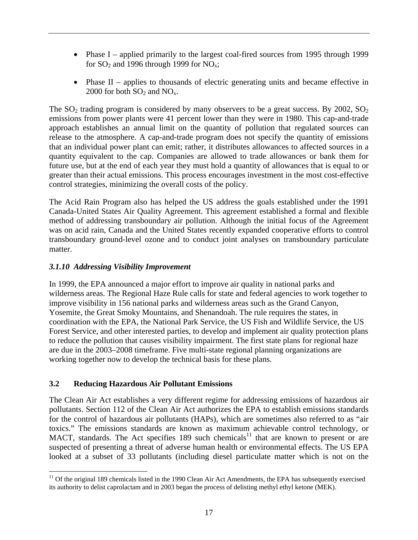- Phase I applied primarily to the largest coal-fired sources from 1995 through 1999 for  $SO_2$  and 1996 through 1999 for  $NO_x$ ;
- Phase II applies to thousands of electric generating units and became effective in 2000 for both  $SO_2$  and  $NO_x$ .

The  $SO_2$  trading program is considered by many observers to be a great success. By 2002,  $SO_2$ emissions from power plants were 41 percent lower than they were in 1980. This cap-and-trade approach establishes an annual limit on the quantity of pollution that regulated sources can release to the atmosphere. A cap-and-trade program does not specify the quantity of emissions that an individual power plant can emit; rather, it distributes allowances to affected sources in a quantity equivalent to the cap. Companies are allowed to trade allowances or bank them for future use, but at the end of each year they must hold a quantity of allowances that is equal to or greater than their actual emissions. This process encourages investment in the most cost-effective control strategies, minimizing the overall costs of the policy.

The Acid Rain Program also has helped the US address the goals established under the 1991 Canada-United States Air Quality Agreement. This agreement established a formal and flexible method of addressing transboundary air pollution. Although the initial focus of the Agreement was on acid rain, Canada and the United States recently expanded cooperative efforts to control transboundary ground-level ozone and to conduct joint analyses on transboundary particulate matter.

# *3.1.10 Addressing Visibility Improvement*

In 1999, the EPA announced a major effort to improve air quality in national parks and wilderness areas. The Regional Haze Rule calls for state and federal agencies to work together to improve visibility in 156 national parks and wilderness areas such as the Grand Canyon, Yosemite, the Great Smoky Mountains, and Shenandoah. The rule requires the states, in coordination with the EPA, the National Park Service, the US Fish and Wildlife Service, the US Forest Service, and other interested parties, to develop and implement air quality protection plans to reduce the pollution that causes visibility impairment. The first state plans for regional haze are due in the 2003–2008 timeframe. Five multi-state regional planning organizations are working together now to develop the technical basis for these plans.

### **3.2 Reducing Hazardous Air Pollutant Emissions**

The Clean Air Act establishes a very different regime for addressing emissions of hazardous air pollutants. Section 112 of the Clean Air Act authorizes the EPA to establish emissions standards for the control of hazardous air pollutants (HAPs), which are sometimes also referred to as "air toxics." The emissions standards are known as maximum achievable control technology, or MACT, standards. The Act specifies 189 such chemicals<sup>11</sup> that are known to present or are suspected of presenting a threat of adverse human health or environmental effects. The US EPA looked at a subset of 33 pollutants (including diesel particulate matter which is not on the

 $\overline{a}$  $11$  Of the original 189 chemicals listed in the 1990 Clean Air Act Amendments, the EPA has subsequently exercised its authority to delist caprolactam and in 2003 began the process of delisting methyl ethyl ketone (MEK).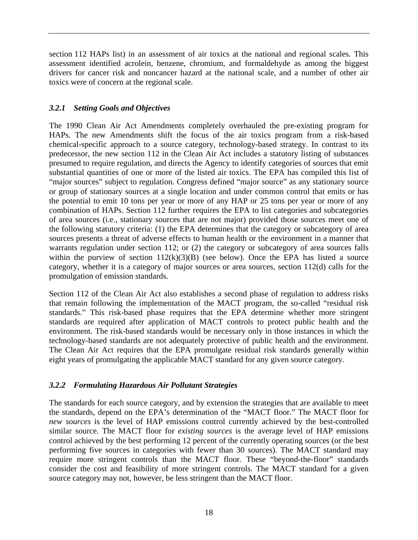section 112 HAPs list) in an assessment of air toxics at the national and regional scales. This assessment identified acrolein, benzene, chromium, and formaldehyde as among the biggest drivers for cancer risk and noncancer hazard at the national scale, and a number of other air toxics were of concern at the regional scale.

#### *3.2.1 Setting Goals and Objectives*

The 1990 Clean Air Act Amendments completely overhauled the pre-existing program for HAPs. The new Amendments shift the focus of the air toxics program from a risk-based chemical-specific approach to a source category, technology-based strategy. In contrast to its predecessor, the new section 112 in the Clean Air Act includes a statutory listing of substances presumed to require regulation, and directs the Agency to identify categories of sources that emit substantial quantities of one or more of the listed air toxics. The EPA has compiled this list of "major sources" subject to regulation. Congress defined "major source" as any stationary source or group of stationary sources at a single location and under common control that emits or has the potential to emit 10 tons per year or more of any HAP or 25 tons per year or more of any combination of HAPs. Section 112 further requires the EPA to list categories and subcategories of area sources (i.e., stationary sources that are not major) provided those sources meet one of the following statutory criteria: (1) the EPA determines that the category or subcategory of area sources presents a threat of adverse effects to human health or the environment in a manner that warrants regulation under section 112; or (2) the category or subcategory of area sources falls within the purview of section  $112(k)(3)(B)$  (see below). Once the EPA has listed a source category, whether it is a category of major sources or area sources, section 112(d) calls for the promulgation of emission standards.

Section 112 of the Clean Air Act also establishes a second phase of regulation to address risks that remain following the implementation of the MACT program, the so-called "residual risk standards." This risk-based phase requires that the EPA determine whether more stringent standards are required after application of MACT controls to protect public health and the environment. The risk-based standards would be necessary only in those instances in which the technology-based standards are not adequately protective of public health and the environment. The Clean Air Act requires that the EPA promulgate residual risk standards generally within eight years of promulgating the applicable MACT standard for any given source category.

#### *3.2.2 Formulating Hazardous Air Pollutant Strategies*

The standards for each source category, and by extension the strategies that are available to meet the standards, depend on the EPA's determination of the "MACT floor." The MACT floor for *new sources* is the level of HAP emissions control currently achieved by the best-controlled similar source. The MACT floor for *existing sources* is the average level of HAP emissions control achieved by the best performing 12 percent of the currently operating sources (or the best performing five sources in categories with fewer than 30 sources). The MACT standard may require more stringent controls than the MACT floor. These "beyond-the-floor" standards consider the cost and feasibility of more stringent controls. The MACT standard for a given source category may not, however, be less stringent than the MACT floor.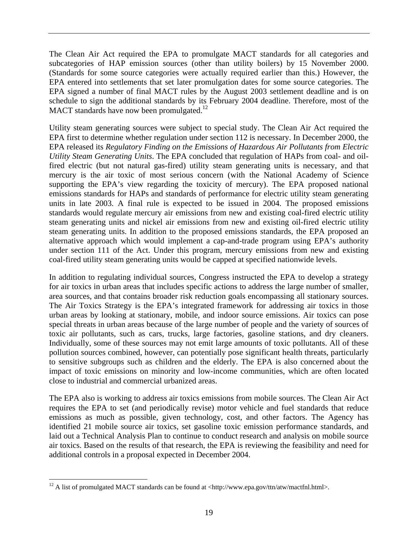The Clean Air Act required the EPA to promulgate MACT standards for all categories and subcategories of HAP emission sources (other than utility boilers) by 15 November 2000. (Standards for some source categories were actually required earlier than this.) However, the EPA entered into settlements that set later promulgation dates for some source categories. The EPA signed a number of final MACT rules by the August 2003 settlement deadline and is on schedule to sign the additional standards by its February 2004 deadline. Therefore, most of the MACT standards have now been promulgated.<sup>12</sup>

Utility steam generating sources were subject to special study. The Clean Air Act required the EPA first to determine whether regulation under section 112 is necessary. In December 2000, the EPA released its *Regulatory Finding on the Emissions of Hazardous Air Pollutants from Electric Utility Steam Generating Units*. The EPA concluded that regulation of HAPs from coal- and oilfired electric (but not natural gas-fired) utility steam generating units is necessary, and that mercury is the air toxic of most serious concern (with the National Academy of Science supporting the EPA's view regarding the toxicity of mercury). The EPA proposed national emissions standards for HAPs and standards of performance for electric utility steam generating units in late 2003. A final rule is expected to be issued in 2004. The proposed emissions standards would regulate mercury air emissions from new and existing coal-fired electric utility steam generating units and nickel air emissions from new and existing oil-fired electric utility steam generating units. In addition to the proposed emissions standards, the EPA proposed an alternative approach which would implement a cap-and-trade program using EPA's authority under section 111 of the Act. Under this program, mercury emissions from new and existing coal-fired utility steam generating units would be capped at specified nationwide levels.

In addition to regulating individual sources, Congress instructed the EPA to develop a strategy for air toxics in urban areas that includes specific actions to address the large number of smaller, area sources, and that contains broader risk reduction goals encompassing all stationary sources. The Air Toxics Strategy is the EPA's integrated framework for addressing air toxics in those urban areas by looking at stationary, mobile, and indoor source emissions. Air toxics can pose special threats in urban areas because of the large number of people and the variety of sources of toxic air pollutants, such as cars, trucks, large factories, gasoline stations, and dry cleaners. Individually, some of these sources may not emit large amounts of toxic pollutants. All of these pollution sources combined, however, can potentially pose significant health threats, particularly to sensitive subgroups such as children and the elderly. The EPA is also concerned about the impact of toxic emissions on minority and low-income communities, which are often located close to industrial and commercial urbanized areas.

The EPA also is working to address air toxics emissions from mobile sources. The Clean Air Act requires the EPA to set (and periodically revise) motor vehicle and fuel standards that reduce emissions as much as possible, given technology, cost, and other factors. The Agency has identified 21 mobile source air toxics, set gasoline toxic emission performance standards, and laid out a Technical Analysis Plan to continue to conduct research and analysis on mobile source air toxics. Based on the results of that research, the EPA is reviewing the feasibility and need for additional controls in a proposal expected in December 2004.

 $\overline{a}$ 

<sup>&</sup>lt;sup>12</sup> A list of promulgated MACT standards can be found at <http://www.epa.gov/ttn/atw/mactfnl.html>.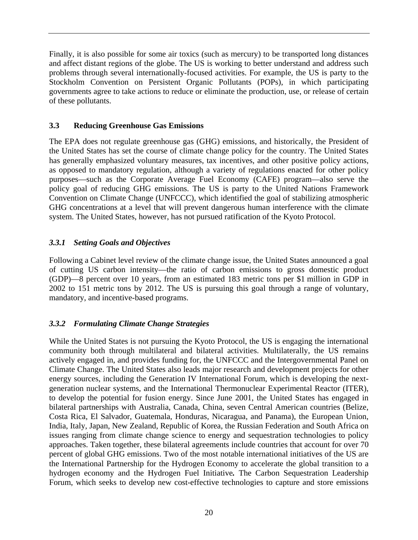Finally, it is also possible for some air toxics (such as mercury) to be transported long distances and affect distant regions of the globe. The US is working to better understand and address such problems through several internationally-focused activities. For example, the US is party to the Stockholm Convention on Persistent Organic Pollutants (POPs), in which participating governments agree to take actions to reduce or eliminate the production, use, or release of certain of these pollutants.

#### **3.3 Reducing Greenhouse Gas Emissions**

The EPA does not regulate greenhouse gas (GHG) emissions, and historically, the President of the United States has set the course of climate change policy for the country. The United States has generally emphasized voluntary measures, tax incentives, and other positive policy actions, as opposed to mandatory regulation, although a variety of regulations enacted for other policy purposes—such as the Corporate Average Fuel Economy (CAFE) program—also serve the policy goal of reducing GHG emissions. The US is party to the United Nations Framework Convention on Climate Change (UNFCCC), which identified the goal of stabilizing atmospheric GHG concentrations at a level that will prevent dangerous human interference with the climate system. The United States, however, has not pursued ratification of the Kyoto Protocol.

### *3.3.1 Setting Goals and Objectives*

Following a Cabinet level review of the climate change issue, the United States announced a goal of cutting US carbon intensity—the ratio of carbon emissions to gross domestic product (GDP)—8 percent over 10 years, from an estimated 183 metric tons per \$1 million in GDP in 2002 to 151 metric tons by 2012. The US is pursuing this goal through a range of voluntary, mandatory, and incentive-based programs.

### *3.3.2 Formulating Climate Change Strategies*

While the United States is not pursuing the Kyoto Protocol, the US is engaging the international community both through multilateral and bilateral activities. Multilaterally, the US remains actively engaged in, and provides funding for, the UNFCCC and the Intergovernmental Panel on Climate Change. The United States also leads major research and development projects for other energy sources, including the Generation IV International Forum, which is developing the nextgeneration nuclear systems, and the International Thermonuclear Experimental Reactor (ITER), to develop the potential for fusion energy. Since June 2001, the United States has engaged in bilateral partnerships with Australia, Canada, China, seven Central American countries (Belize, Costa Rica, El Salvador, Guatemala, Honduras, Nicaragua, and Panama), the European Union, India, Italy, Japan, New Zealand, Republic of Korea, the Russian Federation and South Africa on issues ranging from climate change science to energy and sequestration technologies to policy approaches. Taken together, these bilateral agreements include countries that account for over 70 percent of global GHG emissions. Two of the most notable international initiatives of the US are the International Partnership for the Hydrogen Economy to accelerate the global transition to a hydrogen economy and the Hydrogen Fuel Initiative*.* The Carbon Sequestration Leadership Forum, which seeks to develop new cost-effective technologies to capture and store emissions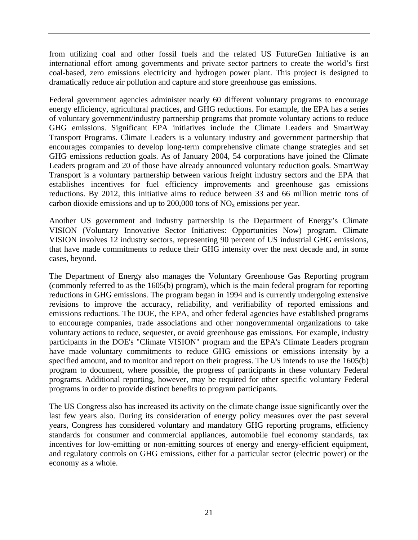from utilizing coal and other fossil fuels and the related US FutureGen Initiative is an international effort among governments and private sector partners to create the world's first coal-based, zero emissions electricity and hydrogen power plant. This project is designed to dramatically reduce air pollution and capture and store greenhouse gas emissions.

Federal government agencies administer nearly 60 different voluntary programs to encourage energy efficiency, agricultural practices, and GHG reductions. For example, the EPA has a series of voluntary government/industry partnership programs that promote voluntary actions to reduce GHG emissions. Significant EPA initiatives include the Climate Leaders and SmartWay Transport Programs. Climate Leaders is a voluntary industry and government partnership that encourages companies to develop long-term comprehensive climate change strategies and set GHG emissions reduction goals. As of January 2004, 54 corporations have joined the Climate Leaders program and 20 of those have already announced voluntary reduction goals. SmartWay Transport is a voluntary partnership between various freight industry sectors and the EPA that establishes incentives for fuel efficiency improvements and greenhouse gas emissions reductions. By 2012, this initiative aims to reduce between 33 and 66 million metric tons of carbon dioxide emissions and up to  $200,000$  tons of  $NO<sub>x</sub>$  emissions per year.

Another US government and industry partnership is the Department of Energy's Climate VISION (Voluntary Innovative Sector Initiatives: Opportunities Now) program. Climate VISION involves 12 industry sectors, representing 90 percent of US industrial GHG emissions, that have made commitments to reduce their GHG intensity over the next decade and, in some cases, beyond.

The Department of Energy also manages the Voluntary Greenhouse Gas Reporting program (commonly referred to as the 1605(b) program), which is the main federal program for reporting reductions in GHG emissions. The program began in 1994 and is currently undergoing extensive revisions to improve the accuracy, reliability, and verifiability of reported emissions and emissions reductions. The DOE, the EPA, and other federal agencies have established programs to encourage companies, trade associations and other nongovernmental organizations to take voluntary actions to reduce, sequester, or avoid greenhouse gas emissions. For example, industry participants in the DOE's "Climate VISION" program and the EPA's Climate Leaders program have made voluntary commitments to reduce GHG emissions or emissions intensity by a specified amount, and to monitor and report on their progress. The US intends to use the 1605(b) program to document, where possible, the progress of participants in these voluntary Federal programs. Additional reporting, however, may be required for other specific voluntary Federal programs in order to provide distinct benefits to program participants.

The US Congress also has increased its activity on the climate change issue significantly over the last few years also. During its consideration of energy policy measures over the past several years, Congress has considered voluntary and mandatory GHG reporting programs, efficiency standards for consumer and commercial appliances, automobile fuel economy standards, tax incentives for low-emitting or non-emitting sources of energy and energy-efficient equipment, and regulatory controls on GHG emissions, either for a particular sector (electric power) or the economy as a whole.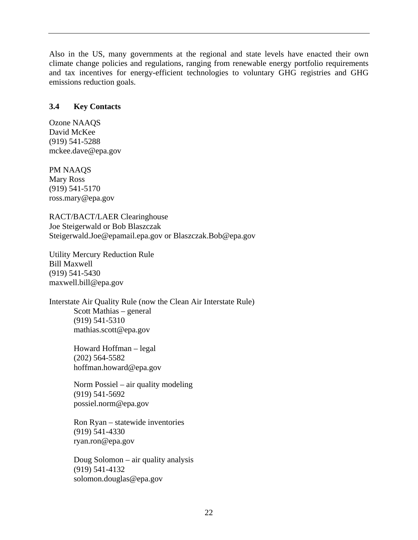Also in the US, many governments at the regional and state levels have enacted their own climate change policies and regulations, ranging from renewable energy portfolio requirements and tax incentives for energy-efficient technologies to voluntary GHG registries and GHG emissions reduction goals.

#### **3.4 Key Contacts**

Ozone NAAQS David McKee (919) 541-5288 mckee.dave@epa.gov

PM NAAQS Mary Ross (919) 541-5170 ross.mary@epa.gov

RACT/BACT/LAER Clearinghouse Joe Steigerwald or Bob Blaszczak Steigerwald.Joe@epamail.epa.gov or Blaszczak.Bob@epa.gov

Utility Mercury Reduction Rule Bill Maxwell (919) 541-5430 maxwell.bill@epa.gov

Interstate Air Quality Rule (now the Clean Air Interstate Rule) Scott Mathias – general (919) 541-5310 mathias.scott@epa.gov

> Howard Hoffman – legal (202) 564-5582 hoffman.howard@epa.gov

Norm Possiel – air quality modeling (919) 541-5692 possiel.norm@epa.gov

Ron Ryan – statewide inventories (919) 541-4330 ryan.ron@epa.gov

Doug Solomon – air quality analysis (919) 541-4132 solomon.douglas@epa.gov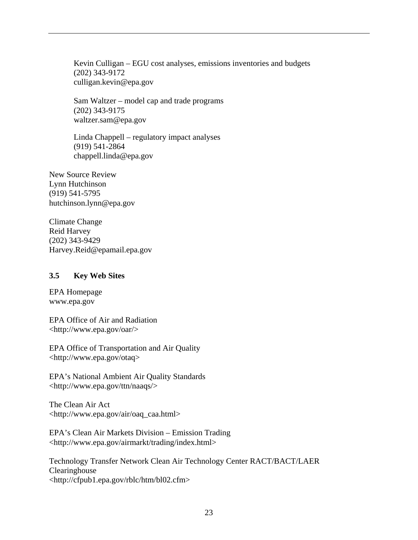Kevin Culligan – EGU cost analyses, emissions inventories and budgets (202) 343-9172 culligan.kevin@epa.gov

Sam Waltzer – model cap and trade programs (202) 343-9175 waltzer.sam@epa.gov

Linda Chappell – regulatory impact analyses (919) 541-2864 chappell.linda@epa.gov

New Source Review Lynn Hutchinson (919) 541-5795 hutchinson.lynn@epa.gov

Climate Change Reid Harvey (202) 343-9429 Harvey.Reid@epamail.epa.gov

#### **3.5 Key Web Sites**

EPA Homepage www.epa.gov

EPA Office of Air and Radiation <http://www.epa.gov/oar/>

EPA Office of Transportation and Air Quality <http://www.epa.gov/otaq>

EPA's National Ambient Air Quality Standards <http://www.epa.gov/ttn/naaqs/>

The Clean Air Act <http://www.epa.gov/air/oaq\_caa.html>

EPA's Clean Air Markets Division – Emission Trading <http://www.epa.gov/airmarkt/trading/index.html>

Technology Transfer Network Clean Air Technology Center RACT/BACT/LAER Clearinghouse <http://cfpub1.epa.gov/rblc/htm/bl02.cfm>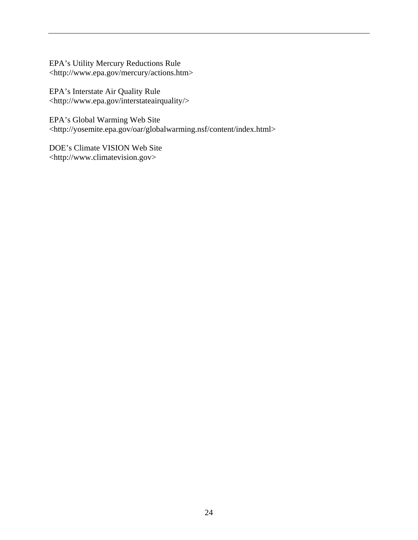EPA's Utility Mercury Reductions Rule <http://www.epa.gov/mercury/actions.htm>

EPA's Interstate Air Quality Rule <http://www.epa.gov/interstateairquality/>

EPA's Global Warming Web Site <http://yosemite.epa.gov/oar/globalwarming.nsf/content/index.html>

DOE's Climate VISION Web Site <http://www.climatevision.gov>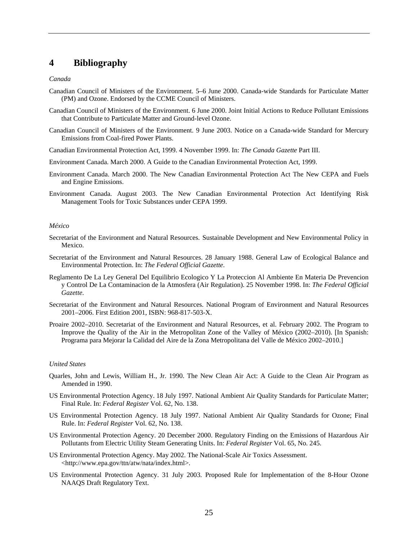## **4 Bibliography**

#### *Canada*

- Canadian Council of Ministers of the Environment. 5–6 June 2000. Canada-wide Standards for Particulate Matter (PM) and Ozone. Endorsed by the CCME Council of Ministers.
- Canadian Council of Ministers of the Environment. 6 June 2000. Joint Initial Actions to Reduce Pollutant Emissions that Contribute to Particulate Matter and Ground-level Ozone.
- Canadian Council of Ministers of the Environment. 9 June 2003. Notice on a Canada-wide Standard for Mercury Emissions from Coal-fired Power Plants.
- Canadian Environmental Protection Act, 1999. 4 November 1999. In: *The Canada Gazette* Part III.
- Environment Canada. March 2000. A Guide to the Canadian Environmental Protection Act, 1999.
- Environment Canada. March 2000. The New Canadian Environmental Protection Act The New CEPA and Fuels and Engine Emissions.
- Environment Canada. August 2003. The New Canadian Environmental Protection Act Identifying Risk Management Tools for Toxic Substances under CEPA 1999.

#### *México*

- Secretariat of the Environment and Natural Resources. Sustainable Development and New Environmental Policy in Mexico.
- Secretariat of the Environment and Natural Resources. 28 January 1988. General Law of Ecological Balance and Environmental Protection. In: *The Federal Official Gazette*.
- Reglamento De La Ley General Del Equilibrio Ecologico Y La Proteccion Al Ambiente En Materia De Prevencion y Control De La Contaminacion de la Atmosfera (Air Regulation). 25 November 1998. In: *The Federal Official Gazette*.
- Secretariat of the Environment and Natural Resources. National Program of Environment and Natural Resources 2001–2006. First Edition 2001, ISBN: 968-817-503-X.
- Proaire 2002–2010. Secretariat of the Environment and Natural Resources, et al. February 2002. The Program to Improve the Quality of the Air in the Metropolitan Zone of the Valley of México (2002–2010). [In Spanish: Programa para Mejorar la Calidad del Aire de la Zona Metropolitana del Valle de México 2002–2010.]

#### *United States*

- Quarles, John and Lewis, William H., Jr. 1990. The New Clean Air Act: A Guide to the Clean Air Program as Amended in 1990.
- US Environmental Protection Agency. 18 July 1997. National Ambient Air Quality Standards for Particulate Matter; Final Rule. In: *Federal Register* Vol. 62, No. 138.
- US Environmental Protection Agency. 18 July 1997. National Ambient Air Quality Standards for Ozone; Final Rule. In: *Federal Register* Vol. 62, No. 138.
- US Environmental Protection Agency. 20 December 2000. Regulatory Finding on the Emissions of Hazardous Air Pollutants from Electric Utility Steam Generating Units. In: *Federal Register* Vol. 65, No. 245.
- US Environmental Protection Agency. May 2002. The National-Scale Air Toxics Assessment. <http://www.epa.gov/ttn/atw/nata/index.html>.
- US Environmental Protection Agency. 31 July 2003. Proposed Rule for Implementation of the 8-Hour Ozone NAAQS Draft Regulatory Text.